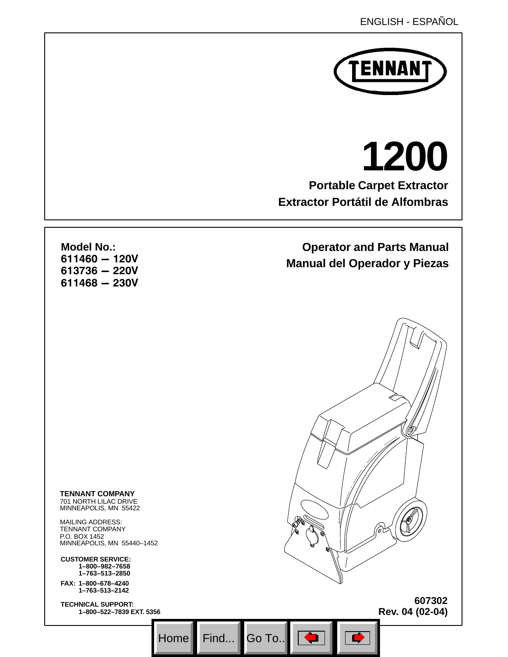

# **Portable Carpet Extractor Extractor Portátil de Alfombras 1200**

## **Operator and Parts Manual Manual del Operador y Piezas**

**Model No.:**   $611460 - 120V$  $613736 - 220V$  $611468 - 230V$ 

**TENNANT COMPANY**  701 NORTH LILAC DRIVE MINNEAPOLIS, MN 55422

MAILING ADDRESS: TENNANT COMPANY P.O. BOX 1452 MINNEAPOLIS, MN 55440–1452

**CUSTOMER SERVICE: 1–800–982–7658 1–763–513–2850**

**FAX: 1–800–678–4240 1–763–513–2142** 

**TECHNICAL SUPPORT: 1–800–522–7839 EXT. 5356**

**607302 Rev. 04 (02-04)**

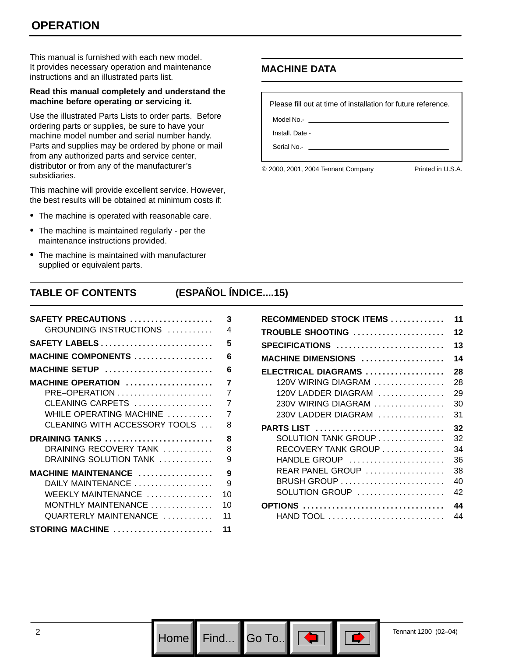This manual is furnished with each new model. It provides necessary operation and maintenance instructions and an illustrated parts list.

#### **Read this manual completely and understand the machine before operating or servicing it.**

Use the illustrated Parts Lists to order parts. Before ordering parts or supplies, be sure to have your machine model number and serial number handy. Parts and supplies may be ordered by phone or mail from any authorized parts and service center, distributor or from any of the manufacturer's subsidiaries.

This machine will provide excellent service. However, the best results will be obtained at minimum costs if:

- The machine is operated with reasonable care.
- The machine is maintained regularly per the maintenance instructions provided.
- The machine is maintained with manufacturer supplied or equivalent parts.

### **MACHINE DATA**

Please fill out at time of installation for future reference. Model No.- \_

Install. Date -

Serial No.- \_

© 2000, 2001, 2004 Tennant Company Printed in U.S.A.

### **TABLE OF CONTENTS (ESPAÑOL ÍNDICE....15)**

| SAFETY PRECAUTIONS            | 3              |
|-------------------------------|----------------|
| GROUNDING INSTRUCTIONS        | 4              |
| <b>SAFETY LABELS</b>          | 5              |
| <b>MACHINE COMPONENTS </b>    | 6              |
| MACHINE SETUP                 | 6              |
| <b>MACHINE OPERATION </b>     | 7              |
| PRE-OPERATION                 | $\overline{7}$ |
| CLEANING CARPETS              | $\overline{7}$ |
| WHILE OPERATING MACHINE       | $\overline{7}$ |
| CLEANING WITH ACCESSORY TOOLS | 8              |
| DRAINING TANKS                | 8              |
| DRAINING RECOVERY TANK        | 8              |
| DRAINING SOLUTION TANK        | 9              |
| MACHINE MAINTENANCE           | 9              |
| DAILY MAINTENANCE             | 9              |
| WEEKLY MAINTENANCE            | 10             |
| MONTHLY MAINTENANCE           | 10             |
| QUARTERLY MAINTENANCE         | 11             |
| STORING MACHINE               | 11             |

| RECOMMENDED STOCK ITEMS                                    | 11 |
|------------------------------------------------------------|----|
| TROUBLE SHOOTING                                           | 12 |
| SPECIFICATIONS                                             | 13 |
| MACHINE DIMENSIONS                                         | 14 |
| ELECTRICAL DIAGRAMS                                        | 28 |
| 120V WIRING DIAGRAM                                        | 28 |
| 120V LADDER DIAGRAM                                        | 29 |
| 230V WIRING DIAGRAM                                        | 30 |
| 230V LADDER DIAGRAM                                        | 31 |
| PARTS LIST                                                 | 32 |
| $SOLUTION$ TANK GROUP $\ldots \ldots \ldots \ldots \ldots$ | 32 |
| RECOVERY TANK GROUP                                        | 34 |
| HANDLE GROUP                                               | 36 |
| REAR PANEL GROUP $\ldots \ldots \ldots \ldots \ldots$      | 38 |
| BRUSH GROUP                                                | 40 |
| $SOLUTION GROUP$                                           | 42 |
| <b>OPTIONS</b>                                             | 44 |
|                                                            | 44 |

Home Find...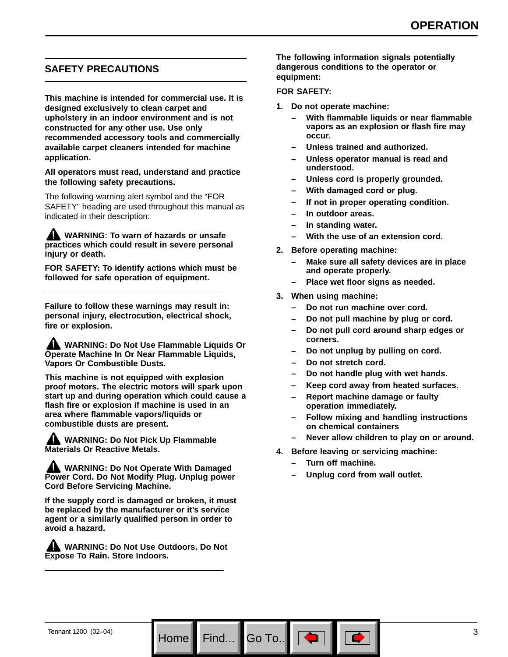### **SAFETY PRECAUTIONS**

**This machine is intended for commercial use. It is designed exclusively to clean carpet and upholstery in an indoor environment and is not constructed for any other use. Use only recommended accessory tools and commercially available carpet cleaners intended for machine application.**

**All operators must read, understand and practice the following safety precautions.**

The following warning alert symbol and the "FOR SAFETY" heading are used throughout this manual as indicated in their description:

**WARNING: To warn of hazards or unsafe practices which could result in severe personal injury or death.**

**FOR SAFETY: To identify actions which must be followed for safe operation of equipment.**

**Failure to follow these warnings may result in: personal injury, electrocution, electrical shock, fire or explosion.**

**WARNING: Do Not Use Flammable Liquids Or Operate Machine In Or Near Flammable Liquids, Vapors Or Combustible Dusts.**

**This machine is not equipped with explosion proof motors. The electric motors will spark upon start up and during operation which could cause a flash fire or explosion if machine is used in an area where flammable vapors/liquids or combustible dusts are present.**

**AND WARNING: Do Not Pick Up Flammable Materials Or Reactive Metals.**

**WARNING: Do Not Operate With Damaged Power Cord. Do Not Modify Plug. Unplug power Cord Before Servicing Machine.**

**If the supply cord is damaged or broken, it must be replaced by the manufacturer or it's service agent or a similarly qualified person in order to avoid a hazard.**

**WARNING: Do Not Use Outdoors. Do Not Expose To Rain. Store Indoors.**

**The following information signals potentially dangerous conditions to the operator or equipment:**

#### **FOR SAFETY:**

- **1. Do not operate machine:**
	- **With flammable liquids or near flammable vapors as an explosion or flash fire may occur.**
	- **Unless trained and authorized.**
	- **Unless operator manual is read and understood.**
	- **Unless cord is properly grounded.**
	- **With damaged cord or plug.**
	- **If not in proper operating condition.**
	- **In outdoor areas.**
	- **In standing water.**
	- **With the use of an extension cord.**
- **2. Before operating machine:**
	- **Make sure all safety devices are in place and operate properly.**
	- **Place wet floor signs as needed.**
- **3. When using machine:**
	- **Do not run machine over cord.**
	- **Do not pull machine by plug or cord.**
	- **Do not pull cord around sharp edges or corners.**
	- **Do not unplug by pulling on cord.**
	- **Do not stretch cord.**
	- **Do not handle plug with wet hands.**
	- **Keep cord away from heated surfaces.**
	- **Report machine damage or faulty operation immediately.**
	- **Follow mixing and handling instructions on chemical containers**
	- **Never allow children to play on or around.**
- **4. Before leaving or servicing machine:**
	- **Turn off machine.**
	- **Unplug cord from wall outlet.**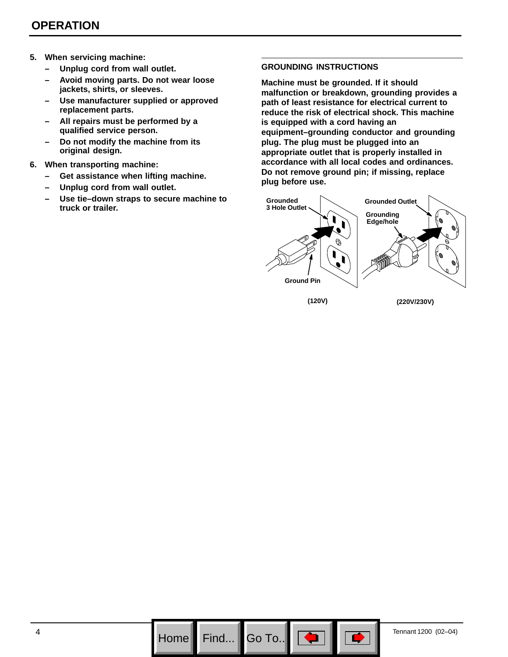- **5. When servicing machine:**
	- **Unplug cord from wall outlet.**
	- **Avoid moving parts. Do not wear loose jackets, shirts, or sleeves.**
	- **Use manufacturer supplied or approved replacement parts.**
	- **All repairs must be performed by a qualified service person.**
	- **Do not modify the machine from its original design.**
- **6. When transporting machine:**
	- **Get assistance when lifting machine.**
	- **Unplug cord from wall outlet.**
	- **Use tie–down straps to secure machine to truck or trailer.**

#### **GROUNDING INSTRUCTIONS**

**Machine must be grounded. If it should malfunction or breakdown, grounding provides a path of least resistance for electrical current to reduce the risk of electrical shock. This machine is equipped with a cord having an equipment–grounding conductor and grounding plug. The plug must be plugged into an appropriate outlet that is properly installed in accordance with all local codes and ordinances. Do not remove ground pin; if missing, replace plug before use.**



Go To.. $\vert$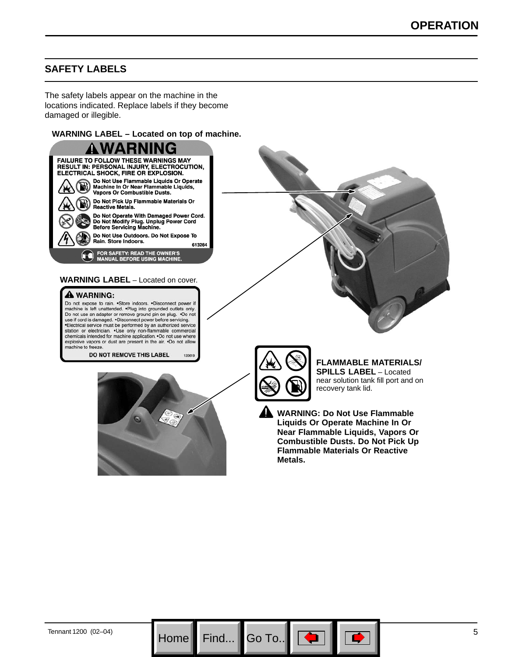### **SAFETY LABELS**

The safety labels appear on the machine in the locations indicated. Replace labels if they become damaged or illegible.

#### **WARNING LABEL – Located on top of machine.**



**Liquids Or Operate Machine In Or Near Flammable Liquids, Vapors Or Combustible Dusts. Do Not Pick Up Flammable Materials Or Reactive Metals.**

Go To.. $\parallel$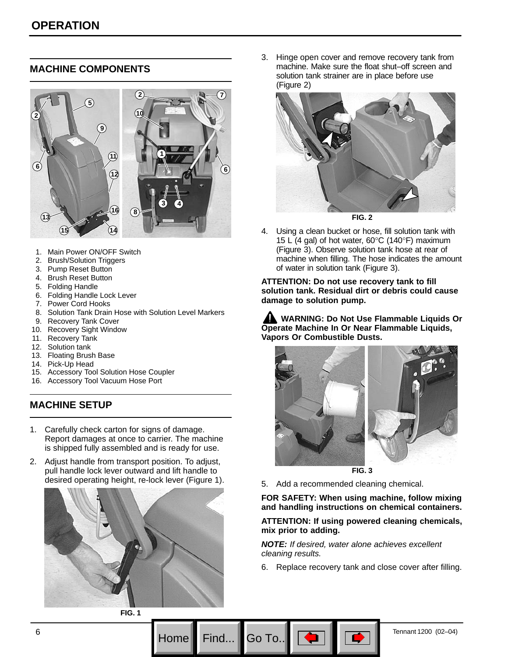### **MACHINE COMPONENTS**



- 1. Main Power ON/OFF Switch
- 2. Brush/Solution Triggers
- 3. Pump Reset Button
- 4. Brush Reset Button
- 5. Folding Handle
- 6. Folding Handle Lock Lever
- 7. Power Cord Hooks
- 8. Solution Tank Drain Hose with Solution Level Markers
- 9. Recovery Tank Cover
- 10. Recovery Sight Window
- 11. Recovery Tank
- 12. Solution tank
- 13. Floating Brush Base
- 14. Pick-Up Head
- 15. Accessory Tool Solution Hose Coupler
- 16. Accessory Tool Vacuum Hose Port

### **MACHINE SETUP**

- 1. Carefully check carton for signs of damage. Report damages at once to carrier. The machine is shipped fully assembled and is ready for use.
- 2. Adjust handle from transport position. To adjust, pull handle lock lever outward and lift handle to desired operating height, re-lock lever (Figure 1).



3. Hinge open cover and remove recovery tank from machine. Make sure the float shut–off screen and solution tank strainer are in place before use (Figure 2)



4. Using a clean bucket or hose, fill solution tank with 15 L (4 gal) of hot water,  $60^{\circ}$ C (140 $^{\circ}$ F) maximum (Figure 3). Observe solution tank hose at rear of machine when filling. The hose indicates the amount of water in solution tank (Figure 3).

**ATTENTION: Do not use recovery tank to fill solution tank. Residual dirt or debris could cause damage to solution pump.**

**WARNING: Do Not Use Flammable Liquids Or Operate Machine In Or Near Flammable Liquids, Vapors Or Combustible Dusts.**



- **FIG. 3**
- 5. Add a recommended cleaning chemical.

**FOR SAFETY: When using machine, follow mixing and handling instructions on chemical containers.**

**ATTENTION: If using powered cleaning chemicals, mix prior to adding.**

*NOTE: If desired, water alone achieves excellent cleaning results.*

Go To

6. Replace recovery tank and close cover after filling.

**FIG. 1**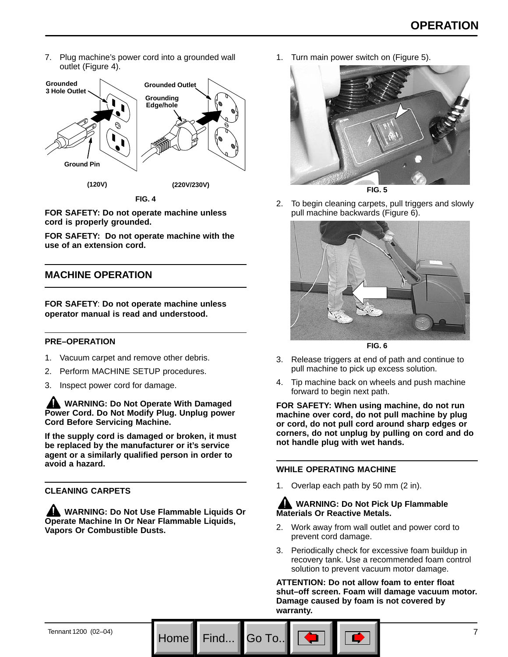7. Plug machine's power cord into a grounded wall outlet (Figure 4).



**FIG. 4**

**FOR SAFETY: Do not operate machine unless cord is properly grounded.**

**FOR SAFETY: Do not operate machine with the use of an extension cord.**

### **MACHINE OPERATION**

**FOR SAFETY**: **Do not operate machine unless operator manual is read and understood.**

### **PRE–OPERATION**

- 1. Vacuum carpet and remove other debris.
- 2. Perform MACHINE SETUP procedures.
- 3. Inspect power cord for damage.

**WARNING: Do Not Operate With Damaged Power Cord. Do Not Modify Plug. Unplug power Cord Before Servicing Machine.**

**If the supply cord is damaged or broken, it must be replaced by the manufacturer or it's service agent or a similarly qualified person in order to avoid a hazard.**

### **CLEANING CARPETS**

**WARNING: Do Not Use Flammable Liquids Or Operate Machine In Or Near Flammable Liquids, Vapors Or Combustible Dusts.**

1. Turn main power switch on (Figure 5).



2. To begin cleaning carpets, pull triggers and slowly pull machine backwards (Figure 6).



**FIG. 6**

- 3. Release triggers at end of path and continue to pull machine to pick up excess solution.
- 4. Tip machine back on wheels and push machine forward to begin next path.

**FOR SAFETY: When using machine, do not run machine over cord, do not pull machine by plug or cord, do not pull cord around sharp edges or corners, do not unplug by pulling on cord and do not handle plug with wet hands.**

#### **WHILE OPERATING MACHINE**

Go To

1. Overlap each path by 50 mm (2 in).

### **WARNING: Do Not Pick Up Flammable Materials Or Reactive Metals.**

- 2. Work away from wall outlet and power cord to prevent cord damage.
- 3. Periodically check for excessive foam buildup in recovery tank. Use a recommended foam control solution to prevent vacuum motor damage.

**ATTENTION: Do not allow foam to enter float shut–off screen. Foam will damage vacuum motor. Damage caused by foam is not covered by warranty.**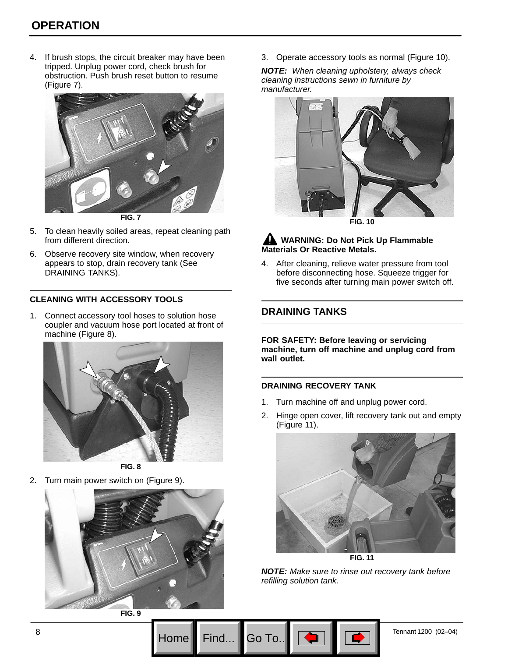4. If brush stops, the circuit breaker may have been tripped. Unplug power cord, check brush for obstruction. Push brush reset button to resume (Figure 7).



**FIG. 7**

- 5. To clean heavily soiled areas, repeat cleaning path from different direction.
- 6. Observe recovery site window, when recovery appears to stop, drain recovery tank (See DRAINING TANKS).

### **CLEANING WITH ACCESSORY TOOLS**

1. Connect accessory tool hoses to solution hose coupler and vacuum hose port located at front of machine (Figure 8).



**FIG. 8**

2. Turn main power switch on (Figure 9).



**FIG. 9**

3. Operate accessory tools as normal (Figure 10).

*NOTE: When cleaning upholstery, always check cleaning instructions sewn in furniture by manufacturer.*



**FIG. 10**

### **AND WARNING: Do Not Pick Up Flammable Materials Or Reactive Metals.**

4. After cleaning, relieve water pressure from tool before disconnecting hose. Squeeze trigger for five seconds after turning main power switch off.

### **DRAINING TANKS**

**FOR SAFETY: Before leaving or servicing machine, turn off machine and unplug cord from wall outlet.**

#### **DRAINING RECOVERY TANK**

Go To.

- 1. Turn machine off and unplug power cord.
- 2. Hinge open cover, lift recovery tank out and empty (Figure 11).



*NOTE: Make sure to rinse out recovery tank before refilling solution tank.*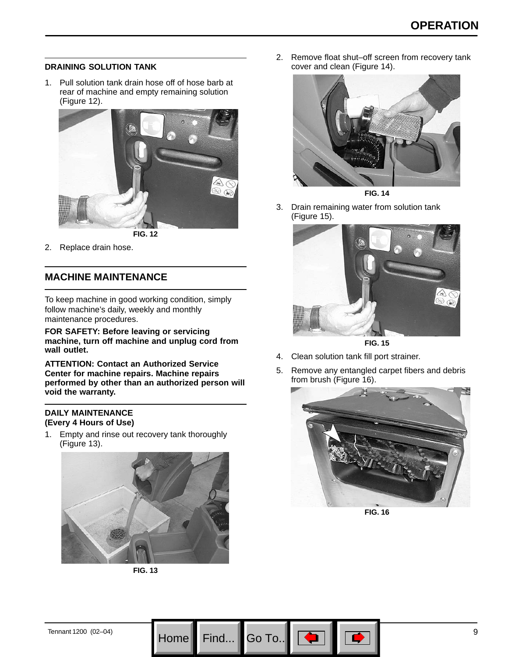### **DRAINING SOLUTION TANK**

1. Pull solution tank drain hose off of hose barb at rear of machine and empty remaining solution (Figure 12).



2. Replace drain hose.

### **MACHINE MAINTENANCE**

To keep machine in good working condition, simply follow machine's daily, weekly and monthly maintenance procedures.

**FOR SAFETY: Before leaving or servicing machine, turn off machine and unplug cord from wall outlet.**

**ATTENTION: Contact an Authorized Service Center for machine repairs. Machine repairs performed by other than an authorized person will void the warranty.**

#### **DAILY MAINTENANCE (Every 4 Hours of Use)**

1. Empty and rinse out recovery tank thoroughly (Figure 13).



**FIG. 13**

2. Remove float shut–off screen from recovery tank cover and clean (Figure 14).



**FIG. 14**

3. Drain remaining water from solution tank (Figure 15).



**FIG. 15**

- 4. Clean solution tank fill port strainer.
- 5. Remove any entangled carpet fibers and debris from brush (Figure 16).



**FIG. 16**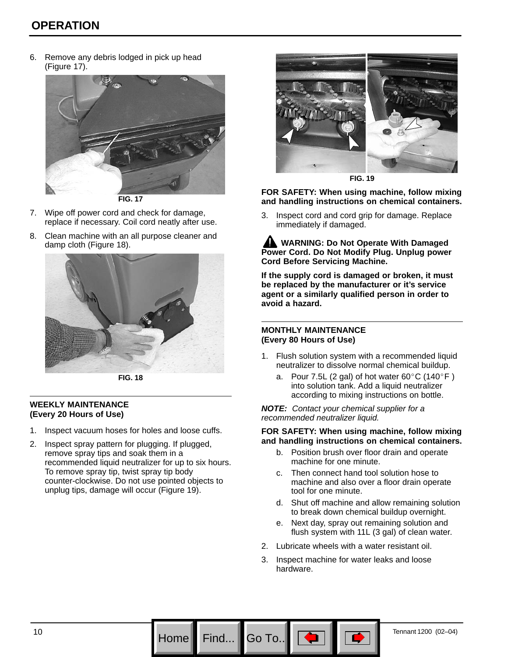6. Remove any debris lodged in pick up head (Figure 17).



**FIG. 17**

- 7. Wipe off power cord and check for damage, replace if necessary. Coil cord neatly after use.
- 8. Clean machine with an all purpose cleaner and damp cloth (Figure 18).



**FIG. 18**

#### **WEEKLY MAINTENANCE (Every 20 Hours of Use)**

- 1. Inspect vacuum hoses for holes and loose cuffs.
- 2. Inspect spray pattern for plugging. If plugged, remove spray tips and soak them in a recommended liquid neutralizer for up to six hours. To remove spray tip, twist spray tip body counter-clockwise. Do not use pointed objects to unplug tips, damage will occur (Figure 19).



**FIG. 19**

**FOR SAFETY: When using machine, follow mixing and handling instructions on chemical containers.**

3. Inspect cord and cord grip for damage. Replace immediately if damaged.

**WARNING: Do Not Operate With Damaged Power Cord. Do Not Modify Plug. Unplug power Cord Before Servicing Machine.**

**If the supply cord is damaged or broken, it must be replaced by the manufacturer or it's service agent or a similarly qualified person in order to avoid a hazard.**

#### **MONTHLY MAINTENANCE (Every 80 Hours of Use)**

- 1. Flush solution system with a recommended liquid neutralizer to dissolve normal chemical buildup.
	- a. Pour 7.5L (2 gal) of hot water  $60^{\circ}$ C (140 $^{\circ}$ F) into solution tank. Add a liquid neutralizer according to mixing instructions on bottle.

*NOTE: Contact your chemical supplier for a recommended neutralizer liquid.*

#### **FOR SAFETY: When using machine, follow mixing and handling instructions on chemical containers.**

- b. Position brush over floor drain and operate machine for one minute.
- c. Then connect hand tool solution hose to machine and also over a floor drain operate tool for one minute.
- d. Shut off machine and allow remaining solution to break down chemical buildup overnight.
- e. Next day, spray out remaining solution and flush system with 11L (3 gal) of clean water.
- 2. Lubricate wheels with a water resistant oil.
- 3. Inspect machine for water leaks and loose hardware.

Go To.

10 **Home Find...**  $\begin{bmatrix} 60 \\ 0 \\ 0 \end{bmatrix}$   $\begin{bmatrix} 60 \\ 0 \\ 0 \end{bmatrix}$   $\begin{bmatrix} 60 \\ 0 \\ 0 \end{bmatrix}$   $\begin{bmatrix} 60 \\ 0 \\ 0 \end{bmatrix}$   $\begin{bmatrix} 100 \\ 0 \\ 0 \end{bmatrix}$   $\begin{bmatrix} 100 \\ 0 \\ 0 \end{bmatrix}$   $\begin{bmatrix} 100 \\ 0 \\ 0 \end{bmatrix}$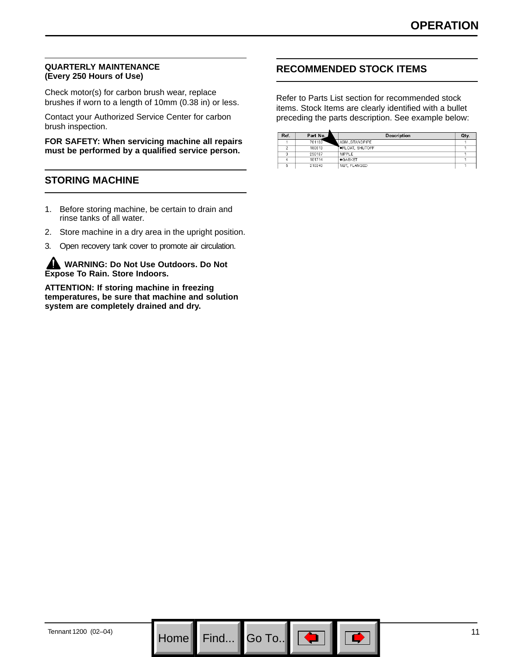#### **QUARTERLY MAINTENANCE (Every 250 Hours of Use)**

Check motor(s) for carbon brush wear, replace brushes if worn to a length of 10mm (0.38 in) or less.

Contact your Authorized Service Center for carbon brush inspection.

**FOR SAFETY: When servicing machine all repairs must be performed by a qualified service person.**

### **STORING MACHINE**

- 1. Before storing machine, be certain to drain and rinse tanks of all water.
- 2. Store machine in a dry area in the upright position.
- 3. Open recovery tank cover to promote air circulation.

**WARNING: Do Not Use Outdoors. Do Not Expose To Rain. Store Indoors.**

**ATTENTION: If storing machine in freezing temperatures, be sure that machine and solution system are completely drained and dry.**

### **RECOMMENDED STOCK ITEMS**

Refer to Parts List section for recommended stock items. Stock Items are clearly identified with a bullet preceding the parts description. See example below:

| Ref. | Part No. | Description            | Qty. |
|------|----------|------------------------|------|
|      | 701103   | ASM., STANDPIPE        |      |
|      | 180613   | <b>OFLOAT, SHUTOFF</b> |      |
|      | 230187   | NIPPLE                 |      |
|      | 101714   | $\bullet$ GASKET       |      |
|      | 210240   | NUT, FLANGED           |      |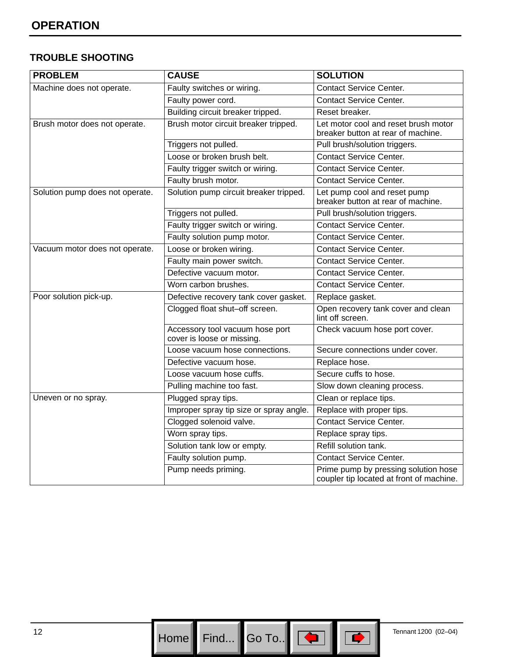### **TROUBLE SHOOTING**

| <b>PROBLEM</b>                  | <b>CAUSE</b>                                                  | <b>SOLUTION</b>                                                                  |
|---------------------------------|---------------------------------------------------------------|----------------------------------------------------------------------------------|
| Machine does not operate.       | Faulty switches or wiring.                                    | <b>Contact Service Center.</b>                                                   |
|                                 | Faulty power cord.                                            | <b>Contact Service Center.</b>                                                   |
|                                 | Building circuit breaker tripped.                             | Reset breaker.                                                                   |
| Brush motor does not operate.   | Brush motor circuit breaker tripped.                          | Let motor cool and reset brush motor<br>breaker button at rear of machine.       |
|                                 | Triggers not pulled.                                          | Pull brush/solution triggers.                                                    |
|                                 | Loose or broken brush belt.                                   | <b>Contact Service Center.</b>                                                   |
|                                 | Faulty trigger switch or wiring.                              | <b>Contact Service Center.</b>                                                   |
|                                 | Faulty brush motor.                                           | <b>Contact Service Center.</b>                                                   |
| Solution pump does not operate. | Solution pump circuit breaker tripped.                        | Let pump cool and reset pump<br>breaker button at rear of machine.               |
|                                 | Triggers not pulled.                                          | Pull brush/solution triggers.                                                    |
|                                 | Faulty trigger switch or wiring.                              | <b>Contact Service Center.</b>                                                   |
|                                 | Faulty solution pump motor.                                   | <b>Contact Service Center.</b>                                                   |
| Vacuum motor does not operate.  | Loose or broken wiring.                                       | <b>Contact Service Center.</b>                                                   |
|                                 | Faulty main power switch.                                     | <b>Contact Service Center.</b>                                                   |
|                                 | Defective vacuum motor.                                       | <b>Contact Service Center.</b>                                                   |
|                                 | Worn carbon brushes.                                          | <b>Contact Service Center.</b>                                                   |
| Poor solution pick-up.          | Defective recovery tank cover gasket.                         | Replace gasket.                                                                  |
|                                 | Clogged float shut-off screen.                                | Open recovery tank cover and clean<br>lint off screen.                           |
|                                 | Accessory tool vacuum hose port<br>cover is loose or missing. | Check vacuum hose port cover.                                                    |
|                                 | Loose vacuum hose connections.                                | Secure connections under cover.                                                  |
|                                 | Defective vacuum hose.                                        | Replace hose.                                                                    |
|                                 | Loose vacuum hose cuffs.                                      | Secure cuffs to hose.                                                            |
|                                 | Pulling machine too fast.                                     | Slow down cleaning process.                                                      |
| Uneven or no spray.             | Plugged spray tips.                                           | Clean or replace tips.                                                           |
|                                 | Improper spray tip size or spray angle.                       | Replace with proper tips.                                                        |
|                                 | Clogged solenoid valve.                                       | <b>Contact Service Center.</b>                                                   |
|                                 | Worn spray tips.                                              | Replace spray tips.                                                              |
|                                 | Solution tank low or empty.                                   | Refill solution tank.                                                            |
|                                 | Faulty solution pump.                                         | <b>Contact Service Center.</b>                                                   |
|                                 | Pump needs priming.                                           | Prime pump by pressing solution hose<br>coupler tip located at front of machine. |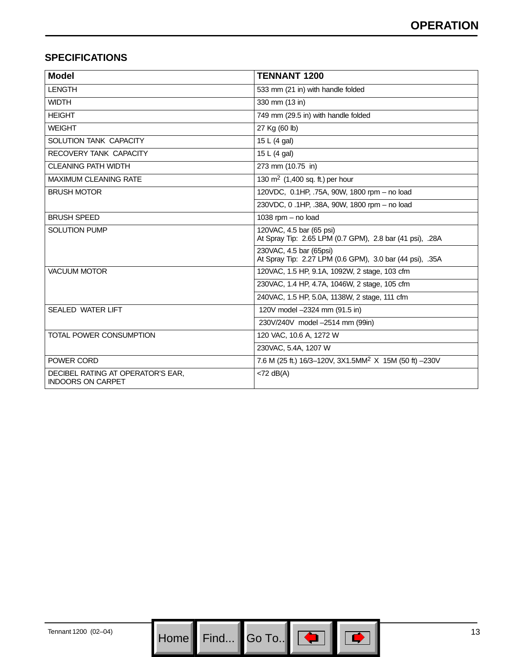### **SPECIFICATIONS**

| <b>Model</b>                                                  | <b>TENNANT 1200</b>                                                                  |
|---------------------------------------------------------------|--------------------------------------------------------------------------------------|
| <b>LENGTH</b>                                                 | 533 mm (21 in) with handle folded                                                    |
| <b>WIDTH</b>                                                  | 330 mm (13 in)                                                                       |
| <b>HEIGHT</b>                                                 | 749 mm (29.5 in) with handle folded                                                  |
| <b>WEIGHT</b>                                                 | 27 Kg (60 lb)                                                                        |
| <b>SOLUTION TANK CAPACITY</b>                                 | 15 L (4 gal)                                                                         |
| RECOVERY TANK CAPACITY                                        | 15 L (4 gal)                                                                         |
| <b>CLEANING PATH WIDTH</b>                                    | 273 mm (10.75 in)                                                                    |
| <b>MAXIMUM CLEANING RATE</b>                                  | 130 $\text{m}^2$ (1,400 sq. ft.) per hour                                            |
| <b>BRUSH MOTOR</b>                                            | 120VDC, 0.1HP, .75A, 90W, 1800 rpm - no load                                         |
|                                                               | 230VDC, 0, 1HP, .38A, 90W, 1800 rpm - no load                                        |
| <b>BRUSH SPEED</b>                                            | 1038 rpm - no load                                                                   |
| <b>SOLUTION PUMP</b>                                          | 120VAC, 4.5 bar (65 psi)<br>At Spray Tip: 2.65 LPM (0.7 GPM), 2.8 bar (41 psi), .28A |
|                                                               | 230VAC, 4.5 bar (65psi)<br>At Spray Tip: 2.27 LPM (0.6 GPM), 3.0 bar (44 psi), .35A  |
| <b>VACUUM MOTOR</b>                                           | 120VAC, 1.5 HP, 9.1A, 1092W, 2 stage, 103 cfm                                        |
|                                                               | 230VAC, 1.4 HP, 4.7A, 1046W, 2 stage, 105 cfm                                        |
|                                                               | 240VAC, 1.5 HP, 5.0A, 1138W, 2 stage, 111 cfm                                        |
| <b>SEALED WATER LIFT</b>                                      | 120V model -2324 mm (91.5 in)                                                        |
|                                                               | 230V/240V model -2514 mm (99in)                                                      |
| TOTAL POWER CONSUMPTION                                       | 120 VAC, 10.6 A, 1272 W                                                              |
|                                                               | 230VAC, 5.4A, 1207 W                                                                 |
| POWER CORD                                                    | 7.6 M (25 ft.) 16/3-120V, 3X1.5MM <sup>2</sup> X 15M (50 ft) -230V                   |
| DECIBEL RATING AT OPERATOR'S EAR,<br><b>INDOORS ON CARPET</b> | $<$ 72 dB(A)                                                                         |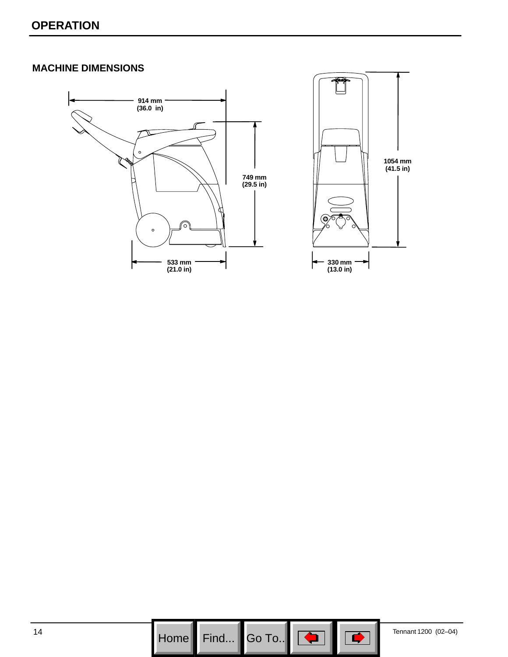### **MACHINE DIMENSIONS**





 $\mathsf{Go}$  To..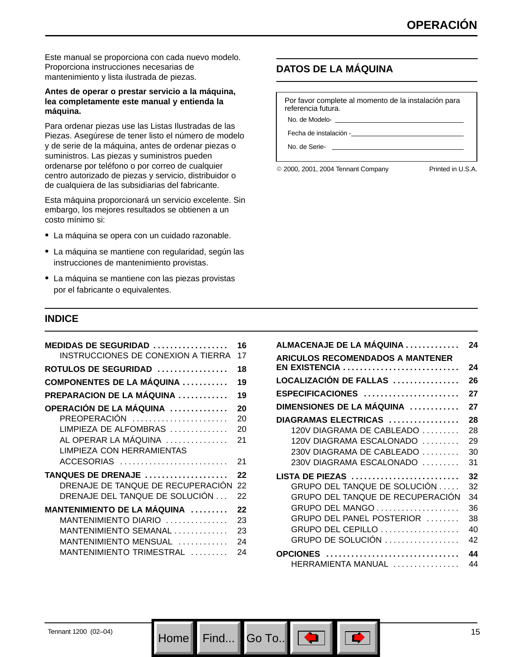Este manual se proporciona con cada nuevo modelo. Proporciona instrucciones necesarias de mantenimiento y lista ilustrada de piezas.

#### **Antes de operar o prestar servicio a la máquina, lea completamente este manual y entienda la máquina.**

Para ordenar piezas use las Listas Ilustradas de las Piezas. Asegúrese de tener listo el número de modelo y de serie de la máquina, antes de ordenar piezas o suministros. Las piezas y suministros pueden ordenarse por teléfono o por correo de cualquier centro autorizado de piezas y servicio, distribuidor o de cualquiera de las subsidiarias del fabricante.

Esta máquina proporcionará un servicio excelente. Sin embargo, los mejores resultados se obtienen a un costo mínimo si:

- La máquina se opera con un cuidado razonable.
- La máquina se mantiene con regularidad, según las instrucciones de mantenimiento provistas.
- La máquina se mantiene con las piezas provistas por el fabricante o equivalentes.

### **DATOS DE LA MÁQUINA**

Por favor complete al momento de la instalación para referencia futura.

No. de Modelo-

Fecha de instalación -

No. de Serie-

© 2000, 2001, 2004 Tennant Company Printed in U.S.A.

### **INDICE**

| MEDIDAS DE SEGURIDAD $\ldots \ldots \ldots \ldots \ldots$<br>INSTRUCCIONES DE CONEXION A TIERRA | 16<br>17 |
|-------------------------------------------------------------------------------------------------|----------|
| $ROTULOS$ DE SEGURIDAD $\ldots\ldots\ldots\ldots\ldots$                                         | 18       |
| <b>COMPONENTES DE LA MAQUINA</b>                                                                | 19       |
| <b>PREPARACION DE LA MAQUINA </b>                                                               | 19       |
| OPERACIÓN DE LA MÁQUINA                                                                         | 20       |
| PREOPERACIÓN                                                                                    | 20       |
| LIMPIEZA DE ALFOMBRAS                                                                           | 20       |
| AL OPERAR LA MÁQUINA                                                                            | 21       |
| LIMPIEZA CON HERRAMIENTAS                                                                       |          |
| ACCESORIAS                                                                                      | 21       |
| TANQUES DE DRENAJE                                                                              | 22       |
| DRENAJE DE TANQUE DE RECUPERACIÓN                                                               | 22       |
| DRENAJE DEL TANQUE DE SOLUCIÓN                                                                  | 22       |
| MANTENIMIENTO DE LA MÁQUINA                                                                     | 22       |
| MANTENIMIENTO DIARIO                                                                            | 23       |
| MANTENIMIENTO SEMANAL                                                                           | 23       |
| MANTENIMIENTO MENSUAL                                                                           | 24       |
| MANTENIMIENTO TRIMESTRAL                                                                        | 24       |

| ALMACENAJE DE LA MÁQUINA                | 24 |
|-----------------------------------------|----|
| <b>ARICULOS RECOMENDADOS A MANTENER</b> |    |
| EN EXISTENCIA                           | 24 |
| LOCALIZACIÓN DE FALLAS                  | 26 |
| ESPECIFICACIONES                        | 27 |
| DIMENSIONES DE LA MÁQUINA               | 27 |
| DIAGRAMAS ELECTRICAS                    | 28 |
| 120V DIAGRAMA DE CABLEADO               | 28 |
| 120V DIAGRAMA ESCALONADO                | 29 |
| 230V DIAGRAMA DE CABLEADO               | 30 |
| 230V DIAGRAMA ESCALONADO                | 31 |
| LISTA DE PIEZAS                         | 32 |
| GRUPO DEL TANQUE DE SOLUCIÓN            | 32 |
| GRUPO DEL TANQUE DE RECUPERACIÓN        | 34 |
| GRUPO DEL MANGO                         | 36 |
| GRUPO DEL PANEL POSTERIOR               | 38 |
| GRUPO DEL CEPILLO                       | 40 |
| GRUPO DE SOLUCIÓN                       | 42 |
| <b>OPCIONES</b>                         | 44 |
| HERRAMIENTA MANUAL                      | 44 |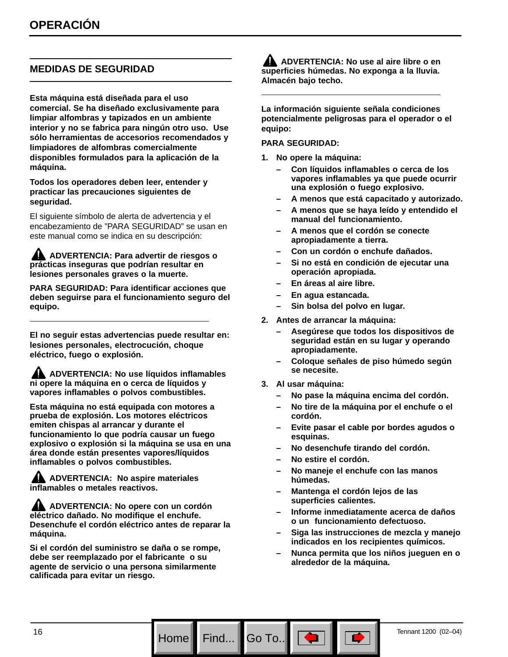### **MEDIDAS DE SEGURIDAD**

**Esta máquina está diseñada para el uso comercial. Se ha diseñado exclusivamente para limpiar alfombras y tapizados en un ambiente interior y no se fabrica para ningún otro uso. Use sólo herramientas de accesorios recomendados y limpiadores de alfombras comercialmente disponibles formulados para la aplicación de la máquina.**

**Todos los operadores deben leer, entender y practicar las precauciones siguientes de seguridad.**

El siguiente símbolo de alerta de advertencia y el encabezamiento de "PARA SEGURIDAD" se usan en este manual como se indica en su descripción:

**ADVERTENCIA: Para advertir de riesgos o prácticas inseguras que podrían resultar en lesiones personales graves o la muerte.**

**PARA SEGURIDAD: Para identificar acciones que deben seguirse para el funcionamiento seguro del equipo.**

**El no seguir estas advertencias puede resultar en: lesiones personales, electrocución, choque eléctrico, fuego o explosión.**

**ADVERTENCIA: No use líquidos inflamables ni opere la máquina en o cerca de líquidos y vapores inflamables o polvos combustibles.**

**Esta máquina no está equipada con motores a prueba de explosión. Los motores eléctricos emiten chispas al arrancar y durante el funcionamiento lo que podría causar un fuego explosivo o explosión si la máquina se usa en una área donde están presentes vapores/líquidos inflamables o polvos combustibles.**

**ADVERTENCIA: No aspire materiales inflamables o metales reactivos.**

**ADVERTENCIA: No opere con un cordón eléctrico dañado. No modifique el enchufe. Desenchufe el cordón eléctrico antes de reparar la máquina.**

**Si el cordón del suministro se daña o se rompe, debe ser reemplazado por el fabricante o su agente de servicio o una persona similarmente calificada para evitar un riesgo.**

**ADVERTENCIA: No use al aire libre o en superficies húmedas. No exponga a la lluvia. Almacén bajo techo.**

**La información siguiente señala condiciones potencialmente peligrosas para el operador o el equipo:**

#### **PARA SEGURIDAD:**

- **1. No opere la máquina:**
	- **Con líquidos inflamables o cerca de los vapores inflamables ya que puede ocurrir una explosión o fuego explosivo.**
	- **A menos que está capacitado y autorizado.**
	- **A menos que se haya leído y entendido el manual del funcionamiento.**
	- **A menos que el cordón se conecte apropiadamente a tierra.**
	- **Con un cordón o enchufe dañados.**
	- **Si no está en condición de ejecutar una operación apropiada.**
	- **En áreas al aire libre.**
	- **En agua estancada.**
	- **Sin bolsa del polvo en lugar.**
- **2. Antes de arrancar la máquina:**
	- **Asegúrese que todos los dispositivos de seguridad están en su lugar y operando apropiadamente.**
	- **Coloque señales de piso húmedo según se necesite.**
- **3. Al usar máquina:**

Go To.. $\parallel$ 

- **No pase la máquina encima del cordón.**
- **No tire de la máquina por el enchufe o el cordón.**
- **Evite pasar el cable por bordes agudos o esquinas.**
- **No desenchufe tirando del cordón.**
- **No estire el cordón.**
- **No maneje el enchufe con las manos húmedas.**
- **Mantenga el cordón lejos de las superficies calientes.**
- **Informe inmediatamente acerca de daños o un funcionamiento defectuoso.**
- **Siga las instrucciones de mezcla y manejo indicados en los recipientes químicos.**
- **Nunca permita que los niños jueguen en o alrededor de la máquina.**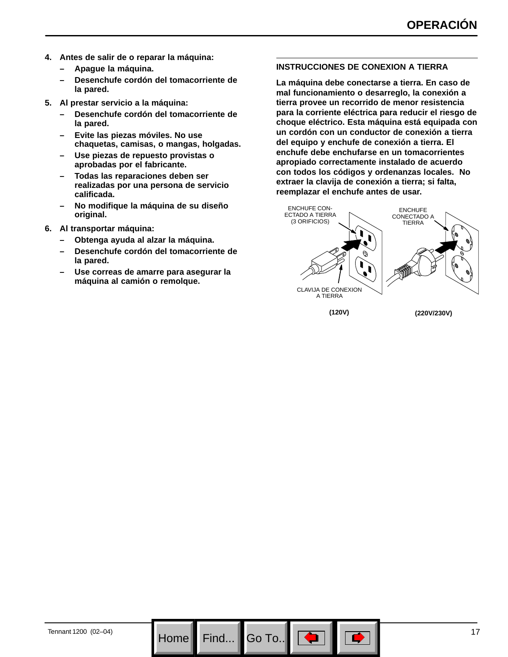- **4. Antes de salir de o reparar la máquina:**
	- **Apague la máquina.**
	- **Desenchufe cordón del tomacorriente de la pared.**
- **5. Al prestar servicio a la máquina:**
	- **Desenchufe cordón del tomacorriente de la pared.**
	- **Evite las piezas móviles. No use chaquetas, camisas, o mangas, holgadas.**
	- **Use piezas de repuesto provistas o aprobadas por el fabricante.**
	- **Todas las reparaciones deben ser realizadas por una persona de servicio calificada.**
	- **No modifique la máquina de su diseño original.**
- **6. Al transportar máquina:**
	- **Obtenga ayuda al alzar la máquina.**
	- **Desenchufe cordón del tomacorriente de la pared.**
	- **Use correas de amarre para asegurar la máquina al camión o remolque.**

#### **INSTRUCCIONES DE CONEXION A TIERRA**

**La máquina debe conectarse a tierra. En caso de mal funcionamiento o desarreglo, la conexión a tierra provee un recorrido de menor resistencia para la corriente eléctrica para reducir el riesgo de choque eléctrico. Esta máquina está equipada con un cordón con un conductor de conexión a tierra del equipo y enchufe de conexión a tierra. El enchufe debe enchufarse en un tomacorrientes apropiado correctamente instalado de acuerdo con todos los códigos y ordenanzas locales. No extraer la clavija de conexión a tierra; si falta, reemplazar el enchufe antes de usar.**



Go To.. $\,$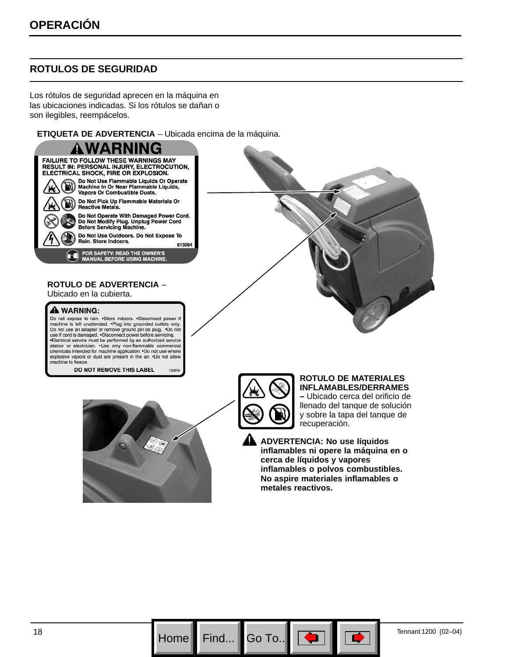### **ROTULOS DE SEGURIDAD**

Los rótulos de seguridad aprecen en la máquina en las ubicaciones indicadas. Si los rótulos se dañan o son ilegibles, reempácelos.

**ETIQUETA DE ADVERTENCIA** – Ubicada encima de la máquina.



Do not expose to rain. . Store indoors. . Disconnect power if Dia machine is left unattended. Plug into grounded outlets only.<br>Do not use an adapter or remove ground pin on plug. Do not<br>use if cord is damaged. Disconnect power before servicing. \*Electrical service must be performed by an authorized service station or electrician. .Use only non-flammable commercial chemicals intended for machine application. . Do not use where explosive vapors or dust are present in the air. .Do not allow machine to freeze.

> DO NOT REMOVE THIS LABEL 120619



Go To.. $\parallel$ 

#### **ROTULO DE MATERIALES INFLAMABLES/DERRAMES –** Ubicado cerca del orificio de llenado del tanque de solución y sobre la tapa del tanque de recuperación.

**ADVERTENCIA: No use líquidos inflamables ni opere la máquina en o cerca de líquidos y vapores inflamables o polvos combustibles. No aspire materiales inflamables o metales reactivos.**





18 **Home Find...**  $\begin{bmatrix} 60 & 70 \end{bmatrix}$   $\begin{bmatrix} 60 & 70 \end{bmatrix}$   $\begin{bmatrix} 40 & 7 \end{bmatrix}$   $\begin{bmatrix} 40 & 7 \end{bmatrix}$   $\begin{bmatrix} 70 & 7 \end{bmatrix}$   $\begin{bmatrix} 70 & 70 \end{bmatrix}$   $\begin{bmatrix} 02-04 \end{bmatrix}$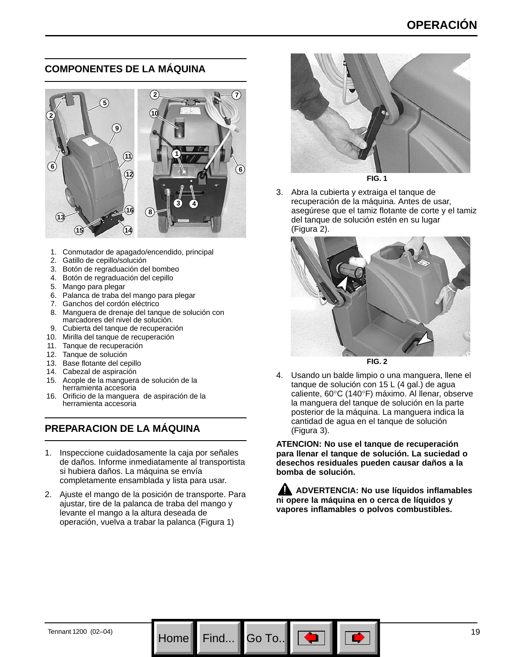### **COMPONENTES DE LA MÁQUINA**



- 1. Conmutador de apagado/encendido, principal
- 2. Gatillo de cepillo/solución
- 3. Botón de regraduación del bombeo
- 4. Botón de regraduación del cepillo
- 5. Mango para plegar
- 6. Palanca de traba del mango para plegar
- 7. Ganchos del cordón eléctrico
- 8. Manguera de drenaje del tanque de solución con marcadores del nivel de solución.
- 9. Cubierta del tanque de recuperación
- 10. Mirilla del tanque de recuperación
- 11. Tanque de recuperación
- 12. Tanque de solución
- 13. Base flotante del cepillo
- 14. Cabezal de aspiración
- 15. Acople de la manguera de solución de la herramienta accesoria
- 16. Orificio de la manguera de aspiración de la herramienta accesoria

### **PREPARACION DE LA MÁQUINA**

- 1. Inspeccione cuidadosamente la caja por señales de daños. Informe inmediatamente al transportista si hubiera daños. La máquina se envía completamente ensamblada y lista para usar.
- 2. Ajuste el mango de la posición de transporte. Para ajustar, tire de la palanca de traba del mango y levante el mango a la altura deseada de operación, vuelva a trabar la palanca (Figura 1)



**FIG. 1**

3. Abra la cubierta y extraiga el tanque de recuperación de la máquina. Antes de usar, asegúrese que el tamiz flotante de corte y el tamiz del tanque de solución estén en su lugar (Figura 2).



**FIG. 2**

4. Usando un balde limpio o una manguera, llene el tanque de solución con 15 L (4 gal.) de agua caliente, 60°C (140°F) máximo. Al llenar, observe la manguera del tanque de solución en la parte posterior de la máquina. La manguera indica la cantidad de agua en el tanque de solución (Figura 3).

**ATENCION: No use el tanque de recuperación para llenar el tanque de solución. La suciedad o desechos residuales pueden causar daños a la bomba de solución.**

**ADVERTENCIA: No use líquidos inflamables ni opere la máquina en o cerca de líquidos y vapores inflamables o polvos combustibles.**

Go To.. $\parallel$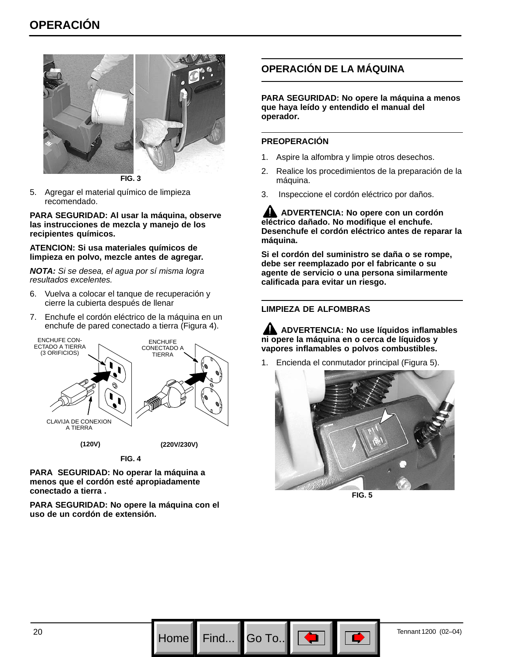

**FIG. 3**

5. Agregar el material químico de limpieza recomendado.

**PARA SEGURIDAD: Al usar la máquina, observe las instrucciones de mezcla y manejo de los recipientes químicos.**

#### **ATENCION: Si usa materiales químicos de limpieza en polvo, mezcle antes de agregar.**

*NOTA: Si se desea, el agua por sí misma logra resultados excelentes.*

- 6. Vuelva a colocar el tanque de recuperación y cierre la cubierta después de llenar
- 7. Enchufe el cordón eléctrico de la máquina en un enchufe de pared conectado a tierra (Figura 4).



**FIG. 4**

**PARA SEGURIDAD: No operar la máquina a menos que el cordón esté apropiadamente conectado a tierra .**

**PARA SEGURIDAD: No opere la máquina con el uso de un cordón de extensión.**

### **OPERACIÓN DE LA MÁQUINA**

**PARA SEGURIDAD: No opere la máquina a menos que haya leído y entendido el manual del operador.**

### **PREOPERACIÓN**

- 1. Aspire la alfombra y limpie otros desechos.
- 2. Realice los procedimientos de la preparación de la máquina.
- 3. Inspeccione el cordón eléctrico por daños.

**ADVERTENCIA: No opere con un cordón eléctrico dañado. No modifique el enchufe. Desenchufe el cordón eléctrico antes de reparar la máquina.**

**Si el cordón del suministro se daña o se rompe, debe ser reemplazado por el fabricante o su agente de servicio o una persona similarmente calificada para evitar un riesgo.**

### **LIMPIEZA DE ALFOMBRAS**

**ADVERTENCIA: No use líquidos inflamables ni opere la máquina en o cerca de líquidos y vapores inflamables o polvos combustibles.**

1. Encienda el conmutador principal (Figura 5).



**FIG. 5**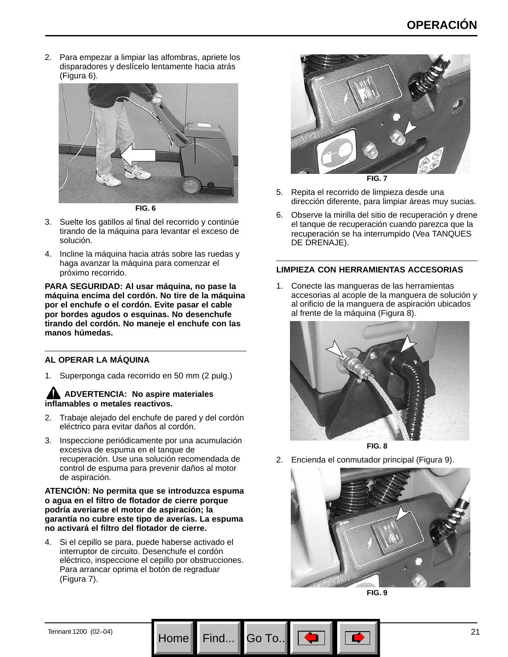2. Para empezar a limpiar las alfombras, apriete los disparadores y deslícelo lentamente hacia atrás (Figura 6).



**FIG. 6**

- 3. Suelte los gatillos al final del recorrido y continúe tirando de la máquina para levantar el exceso de solución.
- 4. Incline la máquina hacia atrás sobre las ruedas y haga avanzar la máquina para comenzar el próximo recorrido.

**PARA SEGURIDAD: Al usar máquina, no pase la máquina encima del cordón. No tire de la máquina por el enchufe o el cordón. Evite pasar el cable por bordes agudos o esquinas. No desenchufe tirando del cordón. No maneje el enchufe con las manos húmedas.**

#### **AL OPERAR LA MÁQUINA**

1. Superponga cada recorrido en 50 mm (2 pulg.)

### **ADVERTENCIA: No aspire materiales inflamables o metales reactivos.**

- 2. Trabaje alejado del enchufe de pared y del cordón eléctrico para evitar daños al cordón.
- 3. Inspeccione periódicamente por una acumulación excesiva de espuma en el tanque de recuperación. Use una solución recomendada de control de espuma para prevenir daños al motor de aspiración.

#### **ATENCIÓN: No permita que se introduzca espuma o agua en el filtro de flotador de cierre porque podría averiarse el motor de aspiración; la garantía no cubre este tipo de averías. La espuma no activará el filtro del flotador de cierre.**

4. Si el cepillo se para, puede haberse activado el interruptor de circuito. Desenchufe el cordón eléctrico, inspeccione el cepillo por obstrucciones. Para arrancar oprima el botón de regraduar (Figura 7).



5. Repita el recorrido de limpieza desde una dirección diferente, para limpiar áreas muy sucias.

6. Observe la mirilla del sitio de recuperación y drene el tanque de recuperación cuando parezca que la recuperación se ha interrumpido (Vea TANQUES DE DRENAJE).

#### **LIMPIEZA CON HERRAMIENTAS ACCESORIAS**

1. Conecte las mangueras de las herramientas accesorias al acople de la manguera de solución y al orificio de la manguera de aspiración ubicados al frente de la máquina (Figura 8).



**FIG. 8**

2. Encienda el conmutador principal (Figura 9).





Go To.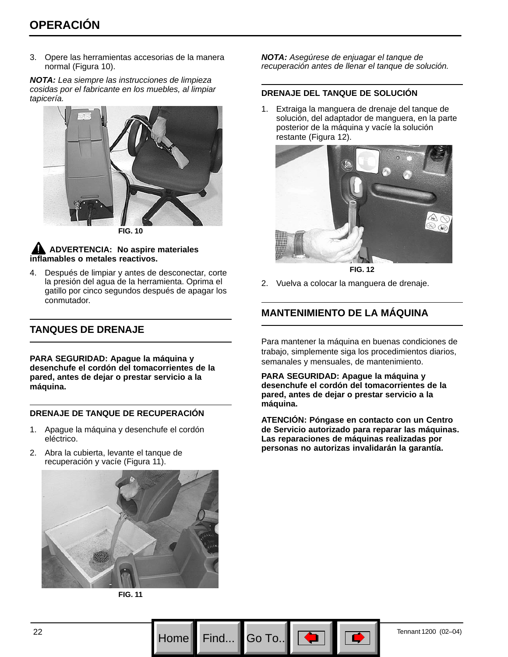3. Opere las herramientas accesorias de la manera normal (Figura 10).

*NOTA: Lea siempre las instrucciones de limpieza cosidas por el fabricante en los muebles, al limpiar tapicería.*



**FIG. 10**

### **ADVERTENCIA: No aspire materiales inflamables o metales reactivos.**

4. Después de limpiar y antes de desconectar, corte la presión del agua de la herramienta. Oprima el gatillo por cinco segundos después de apagar los conmutador.

### **TANQUES DE DRENAJE**

**PARA SEGURIDAD: Apague la máquina y desenchufe el cordón del tomacorrientes de la pared, antes de dejar o prestar servicio a la máquina.**

#### **DRENAJE DE TANQUE DE RECUPERACIÓN**

- 1. Apague la máquina y desenchufe el cordón eléctrico.
- 2. Abra la cubierta, levante el tanque de recuperación y vacíe (Figura 11).





*NOTA: Asegúrese de enjuagar el tanque de recuperación antes de llenar el tanque de solución.*

#### **DRENAJE DEL TANQUE DE SOLUCIÓN**

1. Extraiga la manguera de drenaje del tanque de solución, del adaptador de manguera, en la parte posterior de la máquina y vacíe la solución restante (Figura 12).



**FIG. 12**

2. Vuelva a colocar la manguera de drenaje.

### **MANTENIMIENTO DE LA MÁQUINA**

Para mantener la máquina en buenas condiciones de trabajo, simplemente siga los procedimientos diarios, semanales y mensuales, de mantenimiento.

**PARA SEGURIDAD: Apague la máquina y desenchufe el cordón del tomacorrientes de la pared, antes de dejar o prestar servicio a la máquina.**

**ATENCIÓN: Póngase en contacto con un Centro de Servicio autorizado para reparar las máquinas. Las reparaciones de máquinas realizadas por personas no autorizas invalidarán la garantía.**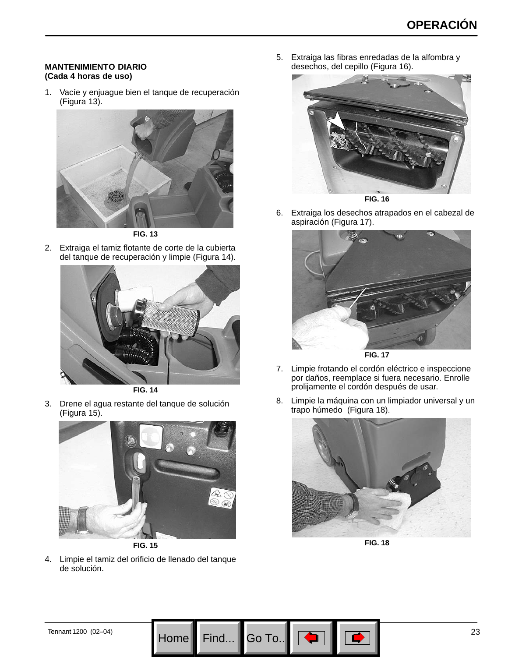#### **MANTENIMIENTO DIARIO (Cada 4 horas de uso)**

1. Vacíe y enjuague bien el tanque de recuperación (Figura 13).



**FIG. 13**

2. Extraiga el tamiz flotante de corte de la cubierta del tanque de recuperación y limpie (Figura 14).



**FIG. 14**

3. Drene el agua restante del tanque de solución (Figura 15).



**FIG. 15**

4. Limpie el tamiz del orificio de llenado del tanque de solución.

5. Extraiga las fibras enredadas de la alfombra y desechos, del cepillo (Figura 16).



6. Extraiga los desechos atrapados en el cabezal de aspiración (Figura 17).



- 7. Limpie frotando el cordón eléctrico e inspeccione por daños, reemplace si fuera necesario. Enrolle prolijamente el cordón después de usar.
- 8. Limpie la máquina con un limpiador universal y un trapo húmedo (Figura 18).



**FIG. 18**

Go To.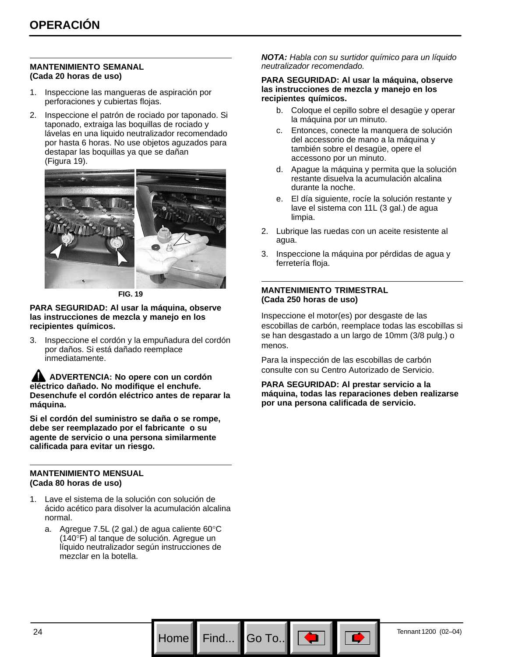#### **MANTENIMIENTO SEMANAL (Cada 20 horas de uso)**

- 1. Inspeccione las mangueras de aspiración por perforaciones y cubiertas flojas.
- 2. Inspeccione el patrón de rociado por taponado. Si taponado, extraiga las boquillas de rociado y lávelas en una liquido neutralizador recomendado por hasta 6 horas. No use objetos aguzados para destapar las boquillas ya que se dañan (Figura 19).



**FIG. 19**

#### **PARA SEGURIDAD: Al usar la máquina, observe las instrucciones de mezcla y manejo en los recipientes químicos.**

3. Inspeccione el cordón y la empuñadura del cordón por daños. Si está dañado reemplace inmediatamente.

**ADVERTENCIA: No opere con un cordón eléctrico dañado. No modifique el enchufe. Desenchufe el cordón eléctrico antes de reparar la máquina.**

**Si el cordón del suministro se daña o se rompe, debe ser reemplazado por el fabricante o su agente de servicio o una persona similarmente calificada para evitar un riesgo.**

#### **MANTENIMIENTO MENSUAL (Cada 80 horas de uso)**

- 1. Lave el sistema de la solución con solución de ácido acético para disolver la acumulación alcalina normal.
	- a. Agregue 7.5L (2 gal.) de agua caliente 60°C (140°F) al tanque de solución. Agregue un líquido neutralizador según instrucciones de mezclar en la botella.

*NOTA: Habla con su surtidor químico para un líquido neutralizador recomendado.*

#### **PARA SEGURIDAD: Al usar la máquina, observe las instrucciones de mezcla y manejo en los recipientes químicos.**

- b. Coloque el cepillo sobre el desagüe y operar la máquina por un minuto.
- c. Entonces, conecte la manquera de solución del accessorio de mano a la máquina y también sobre el desagüe, opere el accessono por un minuto.
- d. Apague la máquina y permita que la solución restante disuelva la acumulación alcalina durante la noche.
- e. El día siguiente, rocíe la solución restante y lave el sistema con 11L (3 gal.) de agua limpia.
- 2. Lubrique las ruedas con un aceite resistente al agua.
- 3. Inspeccione la máquina por pérdidas de agua y ferretería floja.

#### **MANTENIMIENTO TRIMESTRAL (Cada 250 horas de uso)**

Inspeccione el motor(es) por desgaste de las escobillas de carbón, reemplace todas las escobillas si se han desgastado a un largo de 10mm (3/8 pulg.) o menos.

Para la inspección de las escobillas de carbón consulte con su Centro Autorizado de Servicio.

**PARA SEGURIDAD: Al prestar servicio a la máquina, todas las reparaciones deben realizarse por una persona calificada de servicio.**

Go To.. $\overline{\phantom{a}}$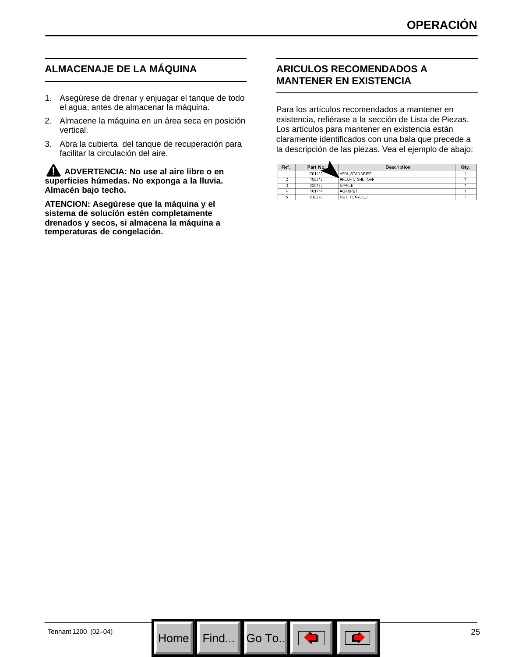### **ALMACENAJE DE LA MÁQUINA**

- 1. Asegúrese de drenar y enjuagar el tanque de todo el agua, antes de almacenar la máquina.
- 2. Almacene la máquina en un área seca en posición vertical.
- 3. Abra la cubierta del tanque de recuperación para facilitar la circulación del aire.

**ADVERTENCIA: No use al aire libre o en superficies húmedas. No exponga a la lluvia. Almacén bajo techo.**

**ATENCION: Asegúrese que la máquina y el sistema de solución estén completamente drenados y secos, si almacena la máquina a temperaturas de congelación.**

### **ARICULOS RECOMENDADOS A MANTENER EN EXISTENCIA**

Para los artículos recomendados a mantener en existencia, refiérase a la sección de Lista de Piezas. Los artículos para mantener en existencia están claramente identificados con una bala que precede a la descripción de las piezas. Vea el ejemplo de abajo:

| Ref. | Part No. | Description            | Qty. |
|------|----------|------------------------|------|
|      | 701103   | ASMSTANDPIPE           |      |
|      | 180613   | <b>OFLOAT, SHUTOFF</b> |      |
|      | 230187   | NIPPLE                 |      |
|      | 101714   | <b>CASKET</b>          |      |
|      | 210240   | NUT, FLANGED           |      |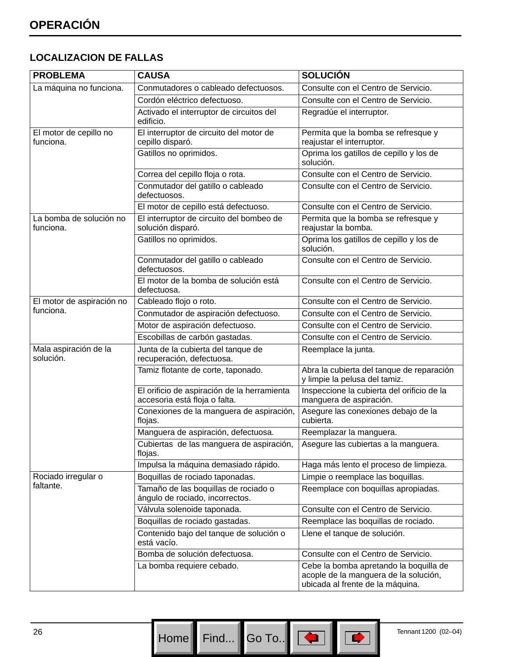### **LOCALIZACION DE FALLAS**

| <b>PROBLEMA</b>                      | <b>CAUSA</b>                                                                 | <b>SOLUCIÓN</b>                                                                                                     |
|--------------------------------------|------------------------------------------------------------------------------|---------------------------------------------------------------------------------------------------------------------|
| La máquina no funciona.              | Conmutadores o cableado defectuosos.                                         | Consulte con el Centro de Servicio.                                                                                 |
|                                      | Cordón eléctrico defectuoso.                                                 | Consulte con el Centro de Servicio.                                                                                 |
|                                      | Activado el interruptor de circuitos del<br>edificio.                        | Regradúe el interruptor.                                                                                            |
| El motor de cepillo no<br>funciona.  | El interruptor de circuito del motor de<br>cepillo disparó.                  | Permita que la bomba se refresque y<br>reajustar el interruptor.                                                    |
|                                      | Gatillos no oprimidos.                                                       | Oprima los gatillos de cepillo y los de<br>solución.                                                                |
|                                      | Correa del cepillo floja o rota.                                             | Consulte con el Centro de Servicio.                                                                                 |
|                                      | Conmutador del gatillo o cableado<br>defectuosos.                            | Consulte con el Centro de Servicio.                                                                                 |
|                                      | El motor de cepillo está defectuoso.                                         | Consulte con el Centro de Servicio.                                                                                 |
| La bomba de solución no<br>funciona. | El interruptor de circuito del bombeo de<br>solución disparó.                | Permita que la bomba se refresque y<br>reajustar la bomba.                                                          |
|                                      | Gatillos no oprimidos.                                                       | Oprima los gatillos de cepillo y los de<br>solución.                                                                |
|                                      | Conmutador del gatillo o cableado<br>defectuosos.                            | Consulte con el Centro de Servicio.                                                                                 |
|                                      | El motor de la bomba de solución está<br>defectuosa.                         | Consulte con el Centro de Servicio.                                                                                 |
| El motor de aspiración no            | Cableado flojo o roto.                                                       | Consulte con el Centro de Servicio.                                                                                 |
| funciona.                            | Conmutador de aspiración defectuoso.                                         | Consulte con el Centro de Servicio.                                                                                 |
|                                      | Motor de aspiración defectuoso.                                              | Consulte con el Centro de Servicio.                                                                                 |
|                                      | Escobillas de carbón gastadas.                                               | Consulte con el Centro de Servicio.                                                                                 |
| Mala aspiración de la<br>solución.   | Junta de la cubierta del tanque de<br>recuperación, defectuosa.              | Reemplace la junta.                                                                                                 |
|                                      | Tamiz flotante de corte, taponado.                                           | Abra la cubierta del tanque de reparación<br>y limpie la pelusa del tamiz.                                          |
|                                      | El orificio de aspiración de la herramienta<br>accesoria está floja o falta. | Inspeccione la cubierta del orificio de la<br>manguera de aspiración.                                               |
|                                      | Conexiones de la manguera de aspiración,<br>flojas.                          | Asegure las conexiones debajo de la<br>cubierta.                                                                    |
|                                      | Manguera de aspiración, defectuosa.                                          | Reemplazar la manguera.                                                                                             |
|                                      | Cubiertas de las manguera de aspiración,<br>flojas.                          | Asegure las cubiertas a la manguera.                                                                                |
|                                      | Impulsa la máquina demasiado rápido.                                         | Haga más lento el proceso de limpieza.                                                                              |
| Rociado irregular o                  | Boquillas de rociado taponadas.                                              | Limpie o reemplace las boquillas.                                                                                   |
| faltante.                            | Tamaño de las boquillas de rociado o<br>ángulo de rociado, incorrectos.      | Reemplace con boquillas apropiadas.                                                                                 |
|                                      | Válvula solenoide taponada.                                                  | Consulte con el Centro de Servicio.                                                                                 |
|                                      | Boquillas de rociado gastadas.                                               | Reemplace las boquillas de rociado.                                                                                 |
|                                      | Contenido bajo del tanque de solución o<br>está vacío.                       | Llene el tanque de solución.                                                                                        |
|                                      | Bomba de solución defectuosa.                                                | Consulte con el Centro de Servicio.                                                                                 |
|                                      | La bomba requiere cebado.                                                    | Cebe la bomba apretando la boquilla de<br>acople de la manguera de la solución,<br>ubicada al frente de la máquina. |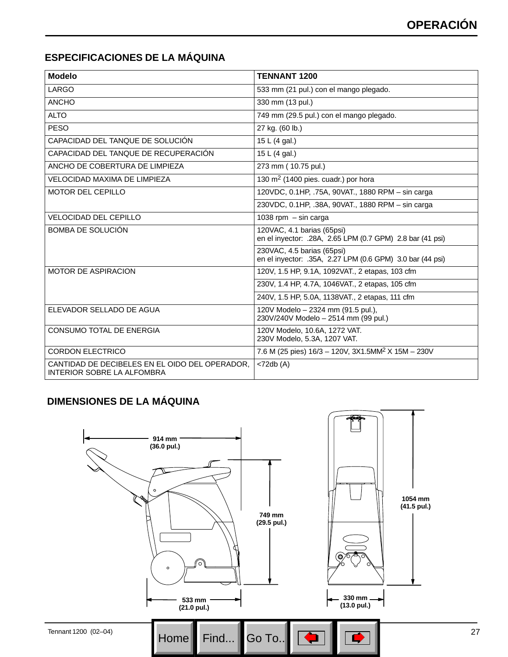### **ESPECIFICACIONES DE LA MÁQUINA**

| <b>Modelo</b>                                                                | <b>TENNANT 1200</b>                                                                     |
|------------------------------------------------------------------------------|-----------------------------------------------------------------------------------------|
| LARGO                                                                        | 533 mm (21 pul.) con el mango plegado.                                                  |
| <b>ANCHO</b>                                                                 | 330 mm (13 pul.)                                                                        |
| <b>ALTO</b>                                                                  | 749 mm (29.5 pul.) con el mango plegado.                                                |
| <b>PESO</b>                                                                  | 27 kg. (60 lb.)                                                                         |
| CAPACIDAD DEL TANQUE DE SOLUCIÓN                                             | 15 L (4 gal.)                                                                           |
| CAPACIDAD DEL TANQUE DE RECUPERACIÓN                                         | 15 L $(4$ gal.)                                                                         |
| ANCHO DE COBERTURA DE LIMPIEZA                                               | 273 mm (10.75 pul.)                                                                     |
| <b>VELOCIDAD MAXIMA DE LIMPIEZA</b>                                          | 130 $m2$ (1400 pies. cuadr.) por hora                                                   |
| <b>MOTOR DEL CEPILLO</b>                                                     | 120VDC, 0.1HP, .75A, 90VAT., 1880 RPM - sin carga                                       |
|                                                                              | 230VDC, 0.1HP, .38A, 90VAT., 1880 RPM - sin carga                                       |
| <b>VELOCIDAD DEL CEPILLO</b>                                                 | 1038 rpm $-$ sin carga                                                                  |
| BOMBA DE SOLUCIÓN                                                            | 120VAC, 4.1 barias (65psi)<br>en el inyector: .28A, 2.65 LPM (0.7 GPM) 2.8 bar (41 psi) |
|                                                                              | 230VAC, 4.5 barias (65psi)<br>en el inyector: .35A, 2.27 LPM (0.6 GPM) 3.0 bar (44 psi) |
| <b>MOTOR DE ASPIRACION</b>                                                   | 120V, 1.5 HP, 9.1A, 1092VAT., 2 etapas, 103 cfm                                         |
|                                                                              | 230V, 1.4 HP, 4.7A, 1046VAT., 2 etapas, 105 cfm                                         |
|                                                                              | 240V, 1.5 HP, 5.0A, 1138VAT., 2 etapas, 111 cfm                                         |
| ELEVADOR SELLADO DE AGUA                                                     | 120V Modelo - 2324 mm (91.5 pul.),<br>230V/240V Modelo - 2514 mm (99 pul.)              |
| CONSUMO TOTAL DE ENERGIA                                                     | 120V Modelo, 10.6A, 1272 VAT.<br>230V Modelo, 5.3A, 1207 VAT.                           |
| <b>CORDON ELECTRICO</b>                                                      | 7.6 M (25 pies) 16/3 - 120V, 3X1.5MM <sup>2</sup> X 15M - 230V                          |
| CANTIDAD DE DECIBELES EN EL OIDO DEL OPERADOR,<br>INTERIOR SOBRE LA ALFOMBRA | $<$ 72db (A)                                                                            |

### **DIMENSIONES DE LA MÁQUINA**

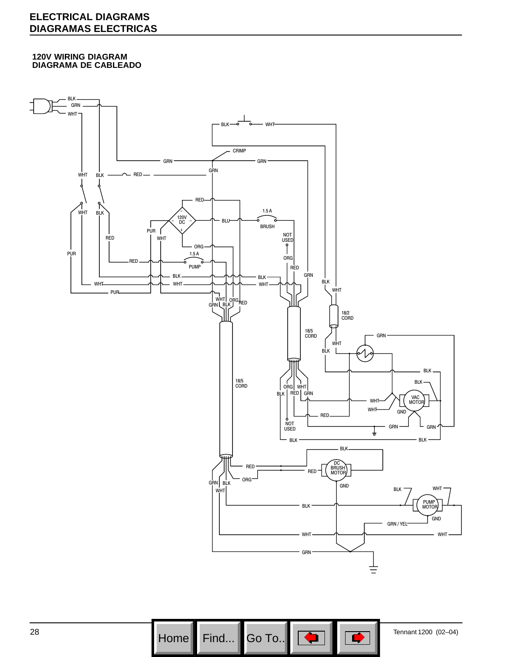### **ELECTRICAL DIAGRAMS DIAGRAMAS ELECTRICAS**

#### **120V WIRING DIAGRAM DIAGRAMA DE CABLEADO**



28 **Home Find...** Go To... Go To... Fig. 1 Tennant 1200 (02–04) Go To..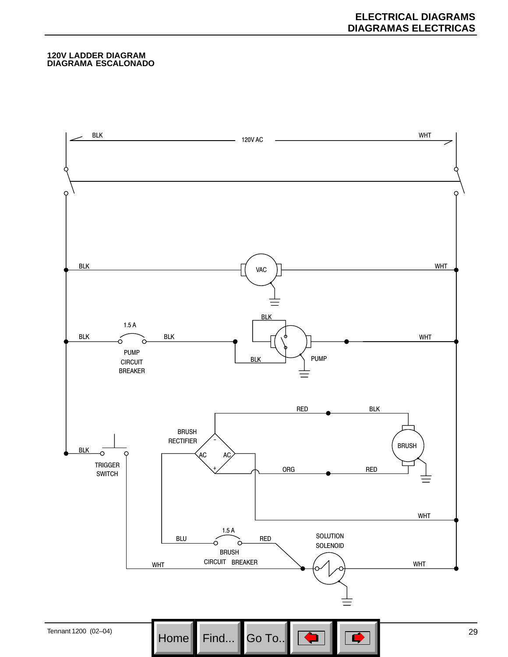#### **120V LADDER DIAGRAM DIAGRAMA ESCALONADO**

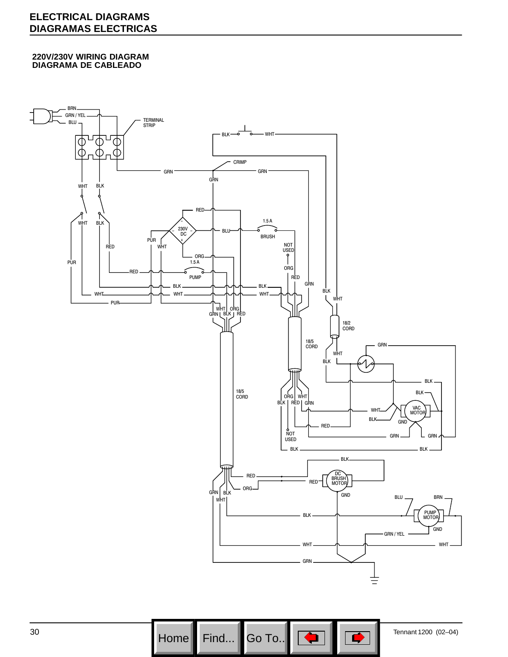### **ELECTRICAL DIAGRAMS DIAGRAMAS ELECTRICAS**

#### **220V/230V WIRING DIAGRAM DIAGRAMA DE CABLEADO**





 $30$  Home Find... Go To...  $\boxed{\bigoplus}$   $\boxed{\bigoplus}$   $\boxed{\bigoplus}$  Tennant 1200 (02–04) Go To..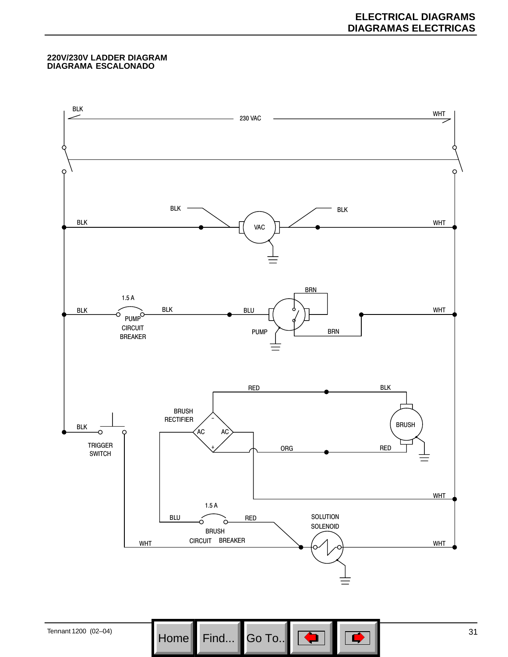#### **220V/230V LADDER DIAGRAM DIAGRAMA ESCALONADO**

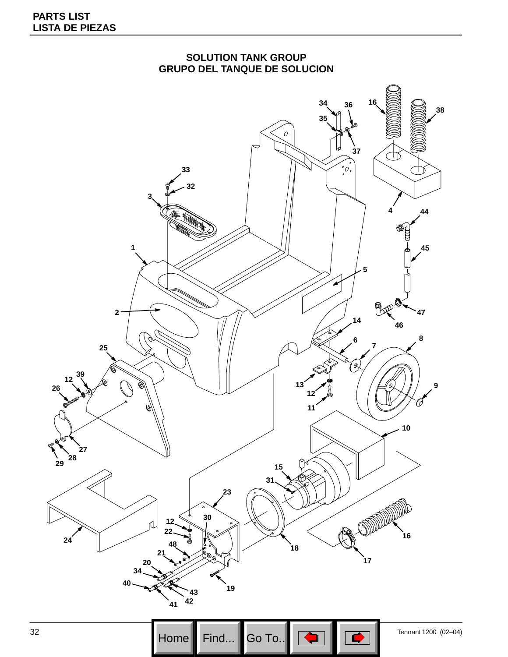



 Tennant 1200 (02–04)<br>
Home Find... Go To...  $\boxed{\bigoplus}$   $\boxed{\bigoplus}$  Tennant 1200 (02–04) Go To.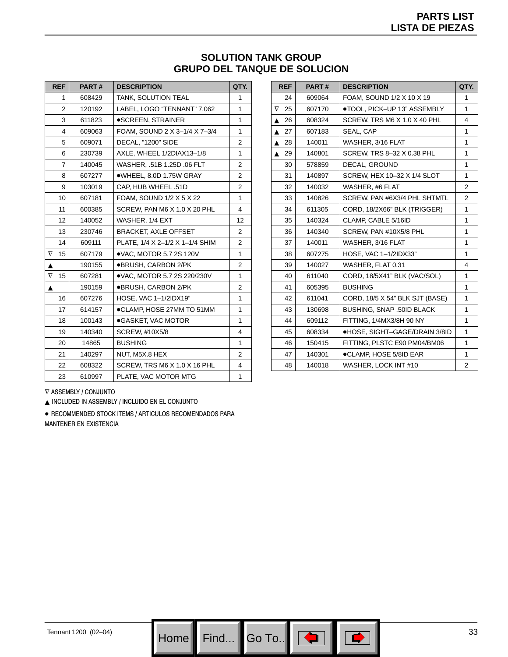### **SOLUTION TANK GROUP GRUPO DEL TANQUE DE SOLUCION**

| <b>REF</b>     | PART#  | <b>DESCRIPTION</b>              | QTY.           |
|----------------|--------|---------------------------------|----------------|
| 1              | 608429 | <b>TANK, SOLUTION TEAL</b>      | 1              |
| $\overline{2}$ | 120192 | LABEL, LOGO "TENNANT" 7.062     | 1              |
| 3              | 611823 | ●SCREEN, STRAINER               | 1              |
| 4              | 609063 | FOAM, SOUND 2 X 3-1/4 X 7-3/4   | 1              |
| 5              | 609071 | DECAL, "1200" SIDE              | $\overline{2}$ |
| 6              | 230739 | AXLE, WHEEL 1/2DIAX13-1/8       | 1              |
| $\overline{7}$ | 140045 | WASHER, .51B 1.25D .06 FLT      | 2              |
| 8              | 607277 | ●WHEEL, 8.0D 1.75W GRAY         | $\overline{2}$ |
| 9              | 103019 | CAP, HUB WHEEL .51D             | 2              |
| 10             | 607181 | FOAM, SOUND 1/2 X 5 X 22        | 1              |
| 11             | 600385 | SCREW, PAN M6 X 1.0 X 20 PHL    | 4              |
| 12             | 140052 | WASHER, 1/4 EXT                 | 12             |
| 13             | 230746 | <b>BRACKET, AXLE OFFSET</b>     | 2              |
| 14             | 609111 | PLATE, 1/4 X 2-1/2 X 1-1/4 SHIM | 2              |
| $\nabla$<br>15 | 607179 | .VAC, MOTOR 5.7 2S 120V         | 1              |
| ▲              | 190155 | ●BRUSH, CARBON 2/PK             | 2              |
| $\nabla$<br>15 | 607281 | .VAC, MOTOR 5.7 2S 220/230V     | 1              |
| ▲              | 190159 | ●BRUSH, CARBON 2/PK             | 2              |
| 16             | 607276 | HOSE, VAC 1-1/2IDX19"           | 1              |
| 17             | 614157 | ●CLAMP, HOSE 27MM TO 51MM       | 1              |
| 18             | 100143 | ●GASKET, VAC MOTOR              | 1              |
| 19             | 140340 | SCREW, #10X5/8                  | 4              |
| 20             | 14865  | <b>BUSHING</b>                  | 1              |
| 21             | 140297 | NUT, M5X.8 HEX                  | $\overline{2}$ |
| 22             | 608322 | SCREW, TRS M6 X 1.0 X 16 PHL    | 4              |
| 23             | 610997 | PLATE, VAC MOTOR MTG            | 1              |

| <b>REF</b>             | PART#  | <b>DESCRIPTION</b>               | QTY. |
|------------------------|--------|----------------------------------|------|
| 24                     | 609064 | FOAM, SOUND 1/2 X 10 X 19        | 1    |
| 25<br>$\nabla$         | 607170 | ●TOOL, PICK-UP 13" ASSEMBLY      | 1    |
| 26<br>▲                | 608324 | SCREW, TRS M6 X 1.0 X 40 PHL     | 4    |
| 27                     | 607183 | SEAL, CAP                        | 1    |
| 28                     | 140011 | WASHER, 3/16 FLAT                | 1    |
| 29<br>$\blacktriangle$ | 140801 | SCREW, TRS 8-32 X 0.38 PHL       | 1    |
| 30                     | 578859 | DECAL, GROUND                    | 1    |
| 31                     | 140897 | SCREW, HEX 10-32 X 1/4 SLOT      | 1    |
| 32                     | 140032 | WASHER, #6 FLAT                  | 2    |
| 33                     | 140826 | SCREW, PAN #6X3/4 PHL SHTMTL     | 2    |
| 34                     | 611305 | CORD, 18/2X66" BLK (TRIGGER)     | 1    |
| 35                     | 140324 | CLAMP, CABLE 5/16ID              | 1    |
| 36                     | 140340 | SCREW, PAN #10X5/8 PHL           | 1    |
| 37                     | 140011 | WASHER, 3/16 FLAT                | 1    |
| 38                     | 607275 | HOSE, VAC 1-1/2IDX33"            | 1    |
| 39                     | 140027 | WASHER, FLAT 0.31                | 4    |
| 40                     | 611040 | CORD, 18/5X41" BLK (VAC/SOL)     | 1    |
| 41                     | 605395 | <b>BUSHING</b>                   | 1    |
| 42                     | 611041 | CORD, 18/5 X 54" BLK SJT (BASE)  | 1    |
| 43                     | 130698 | <b>BUSHING, SNAP .50ID BLACK</b> | 1    |
| 44                     | 609112 | FITTING. 1/4MX3/8H 90 NY         | 1    |
| 45                     | 608334 | ●HOSE, SIGHT-GAGE/DRAIN 3/8ID    | 1    |
| 46                     | 150415 | FITTING, PLSTC E90 PM04/BM06     | 1    |
| 47                     | 140301 | ●CLAMP, HOSE 5/8ID EAR           | 1    |
| 48                     | 140018 | WASHER, LOCK INT #10             | 2    |

 $\nabla$  assembly / conjunto

NCLUDED IN ASSEMBLY / INCLUIDO EN EL CONJUNTO

· RECOMMENDED STOCK ITEMS / ARTICULOS RECOMENDADOS PARA MANTENER EN EXISTENCIA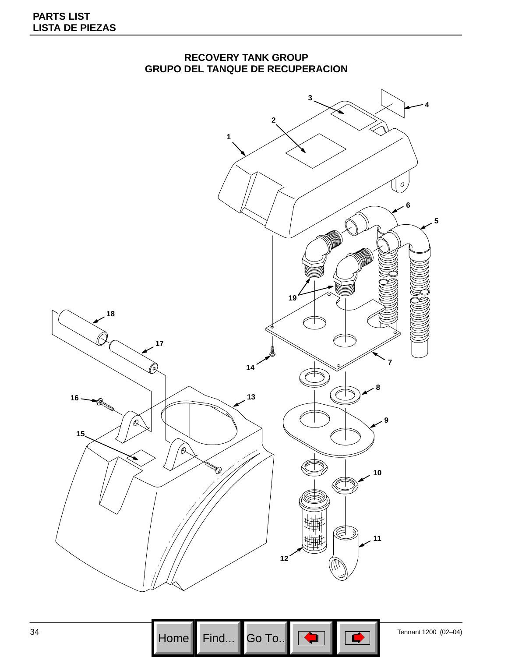

### **RECOVERY TANK GROUP GRUPO DEL TANQUE DE RECUPERACION**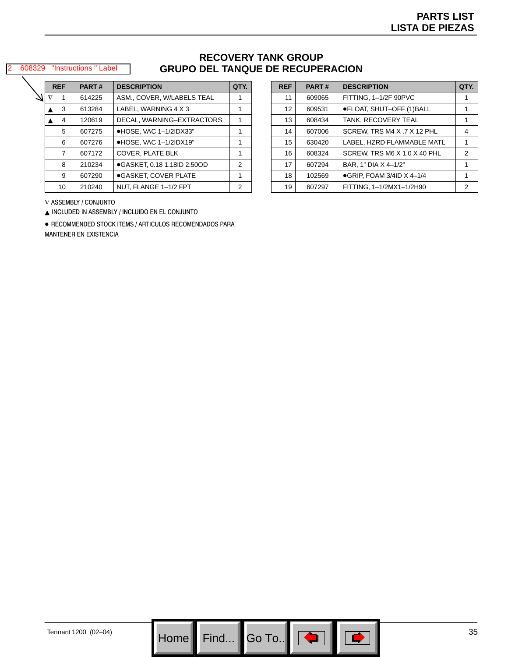#### 608329 "Instructions " Label

### **RECOVERY TANK GROUP GRUPO DEL TANQUE DE RECUPERACION**

|          | <b>REF</b> | PART#  | <b>DESCRIPTION</b>              | QTY. |
|----------|------------|--------|---------------------------------|------|
| $\nabla$ | 1          | 614225 | ASM., COVER, W/LABELS TEAL      |      |
|          | 3          | 613284 | LABEL, WARNING 4 X 3            | 1    |
|          | 4          | 120619 | DECAL, WARNING-EXTRACTORS       | 1    |
|          | 5          | 607275 | ●HOSE, VAC 1-1/2IDX33"          | 1    |
|          | 6          | 607276 | $\bullet$ HOSE, VAC 1-1/2IDX19" | 1    |
|          | 7          | 607172 | <b>COVER. PLATE BLK</b>         | 1    |
|          | 8          | 210234 | ●GASKET, 0.18 1.18ID 2.50OD     | 2    |
|          | 9          | 607290 | ●GASKET. COVER PLATE            | 1    |
|          | 10         | 210240 | NUT. FLANGE 1-1/2 FPT           | 2    |

| <b>REF</b> | PART#  | <b>DESCRIPTION</b>                 | QTY. |
|------------|--------|------------------------------------|------|
| 11         | 609065 | FITTING, 1-1/2F 90PVC              |      |
| 12         | 609531 | ●FLOAT, SHUT-OFF (1)BALL           | 1    |
| 13         | 608434 | TANK, RECOVERY TEAL                | 1    |
| 14         | 607006 | SCREW, TRS M4 X .7 X 12 PHL        | 4    |
| 15         | 630420 | LABEL, HZRD FLAMMABLE MATL         | 1    |
| 16         | 608324 | SCREW, TRS M6 X 1.0 X 40 PHL       | 2    |
| 17         | 607294 | BAR, 1" DIA X 4-1/2"               | 1    |
| 18         | 102569 | $\bullet$ GRIP, FOAM 3/4ID X 4-1/4 | 1    |
| 19         | 607297 | FITTING, 1-1/2MX1-1/2H90           | 2    |

 $\nabla$  assembly / conjunto

NCLUDED IN ASSEMBLY / INCLUIDO EN EL CONJUNTO

· RECOMMENDED STOCK ITEMS / ARTICULOS RECOMENDADOS PARA

MANTENER EN EXISTENCIA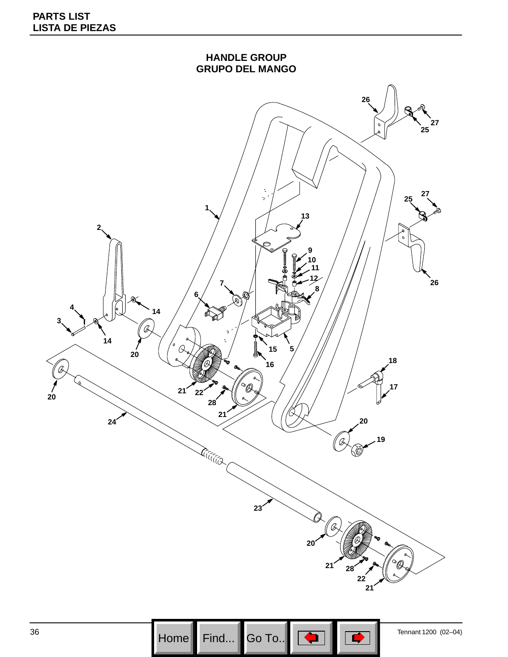

 Tennant 1200 (02–04) Go To..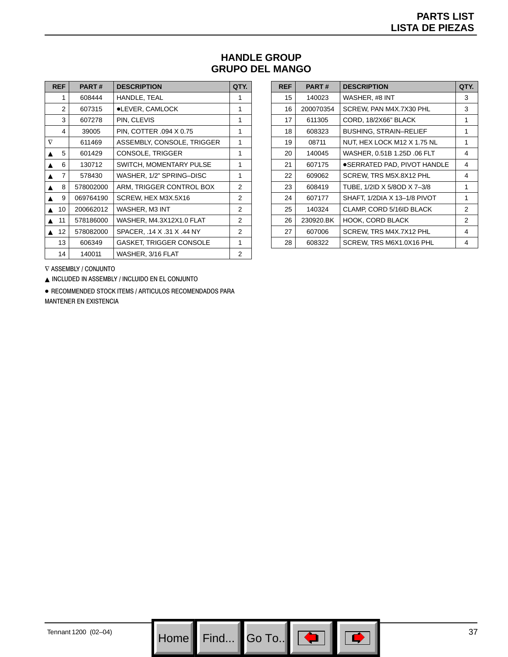### **HANDLE GROUP GRUPO DEL MANGO**

| <b>REF</b> | PART#     | <b>DESCRIPTION</b>             | QTY. |
|------------|-----------|--------------------------------|------|
| 1          | 608444    | HANDLE, TEAL                   | 1    |
| 2          | 607315    | ●LEVER, CAMLOCK                | 1    |
| 3          | 607278    | PIN. CLEVIS                    | 1    |
| 4          | 39005     | PIN, COTTER .094 X 0.75        | 1    |
| $\nabla$   | 611469    | ASSEMBLY, CONSOLE, TRIGGER     | 1    |
| 5          | 601429    | CONSOLE, TRIGGER               | 1    |
| 6          | 130712    | SWITCH, MOMENTARY PULSE        | 1    |
| 7          | 578430    | WASHER, 1/2" SPRING–DISC       | 1    |
| 8          | 578002000 | ARM, TRIGGER CONTROL BOX       | 2    |
| 9          | 069764190 | SCREW, HEX M3X.5X16            | 2    |
| 10         | 200662012 | WASHER, M3 INT                 | 2    |
| 11         | 578186000 | WASHER, M4.3X12X1.0 FLAT       | 2    |
| 12         | 578082000 | SPACER, .14 X .31 X .44 NY     | 2    |
| 13         | 606349    | <b>GASKET, TRIGGER CONSOLE</b> | 1    |
| 14         | 140011    | WASHER, 3/16 FLAT              | 2    |

| <b>REF</b> | PART#     | <b>DESCRIPTION</b>           | QTY. |
|------------|-----------|------------------------------|------|
| 15         | 140023    | WASHER, #8 INT               | 3    |
| 16         | 200070354 | SCREW, PAN M4X.7X30 PHL      | 3    |
| 17         | 611305    | CORD, 18/2X66" BLACK         | 1    |
| 18         | 608323    | BUSHING, STRAIN-RELIEF       | 1    |
| 19         | 08711     | NUT, HEX LOCK M12 X 1.75 NL  | 1    |
| 20         | 140045    | WASHER, 0.51B 1.25D .06 FLT  | 4    |
| 21         | 607175    | ●SERRATED PAD, PIVOT HANDLE  | 4    |
| 22         | 609062    | SCREW, TRS M5X.8X12 PHL      | 4    |
| 23         | 608419    | TUBE, 1/2ID X 5/8OD X 7-3/8  | 1    |
| 24         | 607177    | SHAFT. 1/2DIA X 13-1/8 PIVOT | 1    |
| 25         | 140324    | CLAMP, CORD 5/16ID BLACK     | 2    |
| 26         | 230920.BK | <b>HOOK, CORD BLACK</b>      | 2    |
| 27         | 607006    | SCREW, TRS M4X.7X12 PHL      | 4    |
| 28         | 608322    | SCREW, TRS M6X1.0X16 PHL     | 4    |

 $\nabla$  assembly / conjunto

NCLUDED IN ASSEMBLY / INCLUIDO EN EL CONJUNTO

· RECOMMENDED STOCK ITEMS / ARTICULOS RECOMENDADOS PARA MANTENER EN EXISTENCIA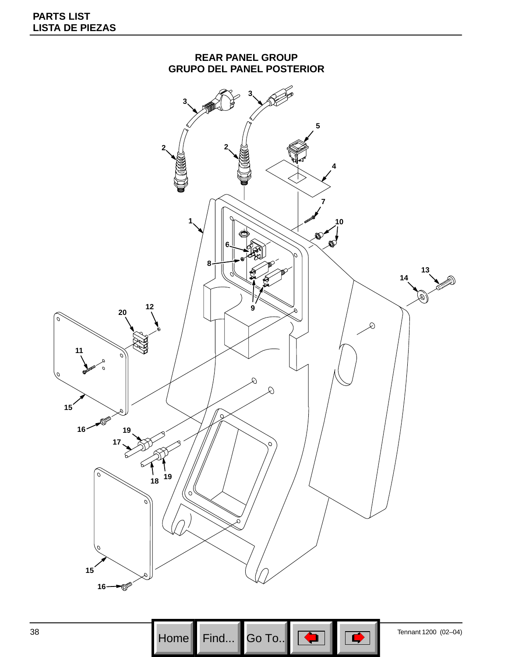

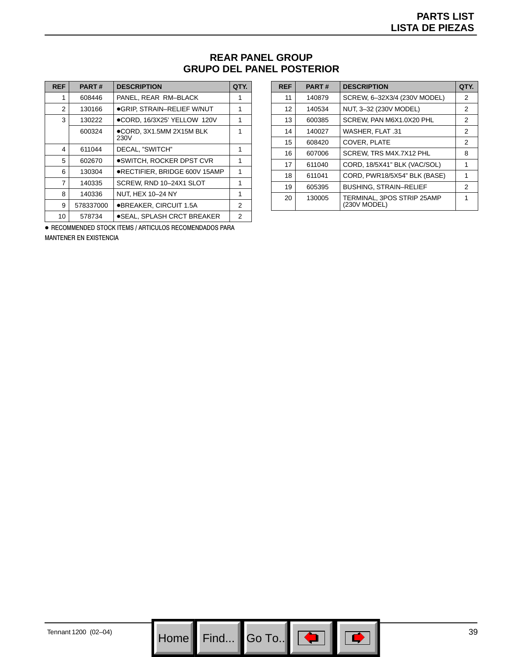### **REAR PANEL GROUP GRUPO DEL PANEL POSTERIOR**

| <b>REF</b> | <b>PART#</b> | <b>DESCRIPTION</b>               | QTY. |
|------------|--------------|----------------------------------|------|
| 1          | 608446       | PANEL, REAR RM-BLACK             |      |
| 2          | 130166       | ●GRIP, STRAIN-RELIEF W/NUT       | 1    |
| 3          | 130222       | ●CORD, 16/3X25' YELLOW 120V      | 1    |
|            | 600324       | ●CORD, 3X1.5MM 2X15M BLK<br>230V |      |
| 4          | 611044       | DECAL, "SWITCH"                  | 1    |
| 5          | 602670       | ●SWITCH. ROCKER DPST CVR         | 1    |
| 6          | 130304       | ●RECTIFIER. BRIDGE 600V 15AMP    | 1    |
| 7          | 140335       | SCREW, RND 10-24X1 SLOT          | 1    |
| 8          | 140336       | NUT. HEX 10-24 NY                | 1    |
| 9          | 578337000    | ●BREAKER, CIRCUIT 1.5A           | 2    |
| 10         | 578734       | ●SEAL, SPLASH CRCT BREAKER       | 2    |

· RECOMMENDED STOCK ITEMS / ARTICULOS RECOMENDADOS PARA MANTENER EN EXISTENCIA

| <b>REF</b> | <b>PART#</b> | <b>DESCRIPTION</b>                         | QTY. |
|------------|--------------|--------------------------------------------|------|
| 11         | 140879       | SCREW, 6-32X3/4 (230V MODEL)               | 2    |
| 12         | 140534       | NUT, 3-32 (230V MODEL)                     | 2    |
| 13         | 600385       | SCREW. PAN M6X1.0X20 PHL                   | 2    |
| 14         | 140027       | <b>WASHER, FLAT, 31</b>                    | 2    |
| 15         | 608420       | COVER, PLATE                               | 2    |
| 16         | 607006       | SCREW. TRS M4X.7X12 PHL                    | 8    |
| 17         | 611040       | CORD, 18/5X41" BLK (VAC/SOL)               | 1    |
| 18         | 611041       | CORD, PWR18/5X54" BLK (BASE)               | 1    |
| 19         | 605395       | <b>BUSHING, STRAIN-RELIEF</b>              | 2    |
| 20         | 130005       | TERMINAL, 3POS STRIP 25AMP<br>(230V MODEL) | 1    |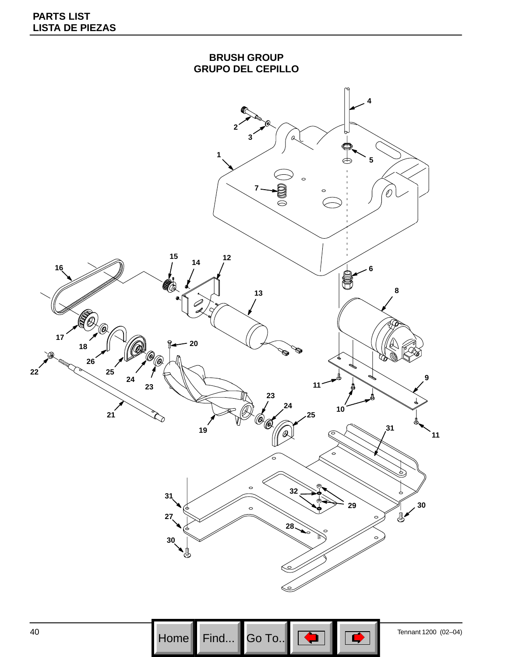

**Home Find...** Go To... Go To... Finant 1200 (02–04) Go To..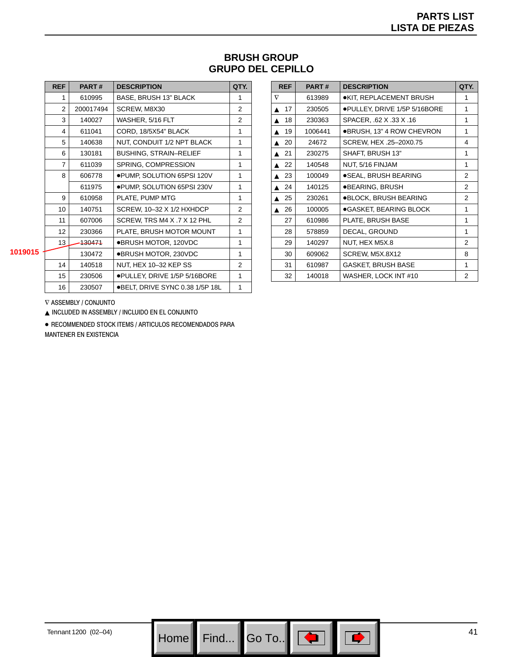| <b>BRUSH GROUP</b>       |  |
|--------------------------|--|
| <b>GRUPO DEL CEPILLO</b> |  |

| <b>REF</b>     | <b>PART#</b> | <b>DESCRIPTION</b>              | QTY. |
|----------------|--------------|---------------------------------|------|
| 1              | 610995       | <b>BASE, BRUSH 13" BLACK</b>    | 1    |
| $\mathfrak{p}$ | 200017494    | SCREW, M8X30                    | 2    |
| 3              | 140027       | WASHER, 5/16 FLT                | 2    |
| 4              | 611041       | CORD, 18/5X54" BLACK            | 1    |
| 5              | 140638       | NUT, CONDUIT 1/2 NPT BLACK      | 1    |
| 6              | 130181       | <b>BUSHING, STRAIN-RELIEF</b>   | 1    |
| $\overline{7}$ | 611039       | SPRING, COMPRESSION             | 1    |
| 8              | 606778       | . PUMP, SOLUTION 65PSI 120V     | 1    |
|                | 611975       | ●PUMP, SOLUTION 65PSI 230V      | 1    |
| 9              | 610958       | PLATE, PUMP MTG                 | 1    |
| 10             | 140751       | SCREW, 10-32 X 1/2 HXHDCP       | 2    |
| 11             | 607006       | SCREW, TRS M4 X .7 X 12 PHL     | 2    |
| 12             | 230366       | PLATE, BRUSH MOTOR MOUNT        | 1    |
| 13             | 130471       | ●BRUSH MOTOR, 120VDC            | 1    |
|                | 130472       | ●BRUSH MOTOR, 230VDC            | 1    |
| 14             | 140518       | NUT, HEX 10-32 KEP SS           | 2    |
| 15             | 230506       | ●PULLEY, DRIVE 1/5P 5/16BORE    | 1    |
| 16             | 230507       | ●BELT, DRIVE SYNC 0.38 1/5P 18L | 1    |
|                |              |                                 |      |

| <b>REF</b> | <b>PART#</b> | <b>DESCRIPTION</b>           | QTY. |
|------------|--------------|------------------------------|------|
| $\nabla$   | 613989       | ●KIT, REPLACEMENT BRUSH      | 1    |
| 17<br>▲    | 230505       | ●PULLEY, DRIVE 1/5P 5/16BORE | 1    |
| 18<br>▲    | 230363       | SPACER, .62 X .33 X .16      | 1    |
| 19<br>▲    | 1006441      | ●BRUSH, 13" 4 ROW CHEVRON    | 1    |
| 20<br>▲    | 24672        | SCREW, HEX .25-20X0.75       | 4    |
| 21<br>▲    | 230275       | SHAFT, BRUSH 13"             | 1    |
| 22<br>▲    | 140548       | NUT, 5/16 FINJAM             | 1    |
| 23<br>▴    | 100049       | ●SEAL, BRUSH BEARING         | 2    |
| 24         | 140125       | ●BEARING, BRUSH              | 2    |
| 25<br>▲    | 230261       | ●BLOCK, BRUSH BEARING        | 2    |
| 26<br>▲    | 100005       | ●GASKET, BEARING BLOCK       | 1    |
| 27         | 610986       | PLATE, BRUSH BASE            | 1    |
| 28         | 578859       | DECAL, GROUND                | 1    |
| 29         | 140297       | NUT, HEX M5X.8               | 2    |
| 30         | 609062       | SCREW, M5X.8X12              | 8    |
| 31         | 610987       | GASKET, BRUSH BASE           | 1    |
| 32         | 140018       | WASHER, LOCK INT #10         | 2    |

**1019015**

 $\nabla$  assembly / conjunto

NCLUDED IN ASSEMBLY / INCLUIDO EN EL CONJUNTO

· RECOMMENDED STOCK ITEMS / ARTICULOS RECOMENDADOS PARA **MANTENER EN EXISTENCIA**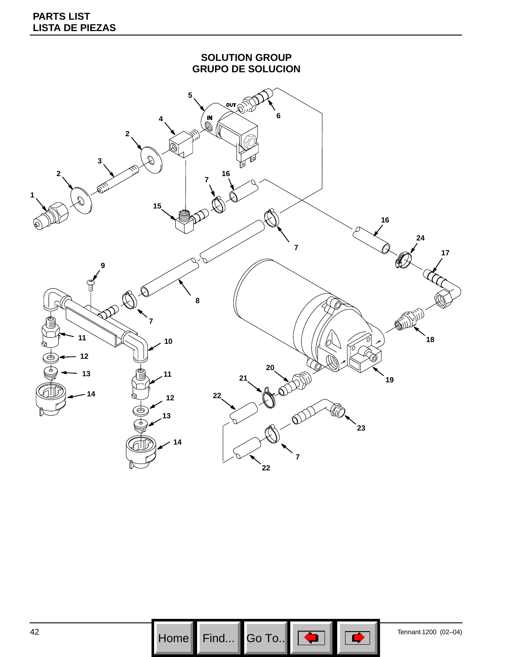

Go To..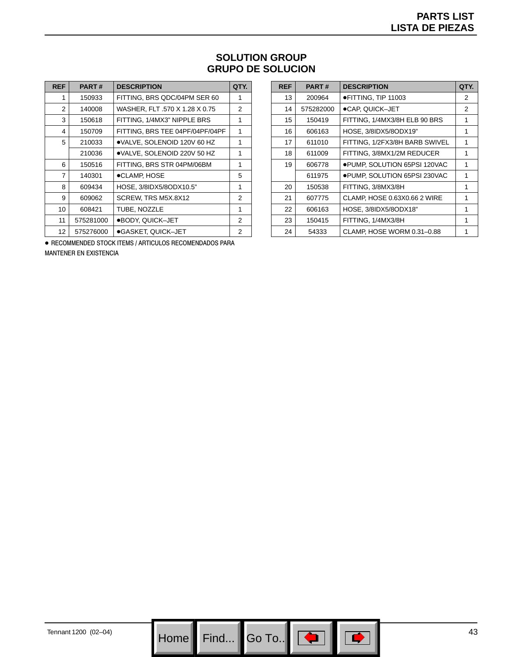| <b>SOLUTION GROUP</b>    |
|--------------------------|
| <b>GRUPO DE SOLUCION</b> |

| <b>REF</b> | <b>PART#</b> | <b>DESCRIPTION</b>              | QTY. |
|------------|--------------|---------------------------------|------|
| 1          | 150933       | FITTING, BRS QDC/04PM SER 60    | 1    |
| 2          | 140008       | WASHER, FLT .570 X 1.28 X 0.75  | 2    |
| 3          | 150618       | FITTING, 1/4MX3" NIPPLE BRS     | 1    |
| 4          | 150709       | FITTING, BRS TEE 04PF/04PF/04PF | 1    |
| 5          | 210033       | ●VALVE, SOLENOID 120V 60 HZ     | 1    |
|            | 210036       | ●VALVE, SOLENOID 220V 50 HZ     | 1    |
| 6          | 150516       | FITTING, BRS STR 04PM/06BM      | 1    |
| 7          | 140301       | ●CLAMP, HOSE                    | 5    |
| 8          | 609434       | HOSE, 3/8IDX5/8ODX10.5"         | 1    |
| 9          | 609062       | SCREW, TRS M5X.8X12             | 2    |
| 10         | 608421       | TUBE, NOZZLE                    | 1    |
| 11         | 575281000    | ●BODY, QUICK-JET                | 2    |
| 12         | 575276000    | ●GASKET, QUICK-JET              | 2    |

| <b>REF</b> | <b>PART#</b> | <b>DESCRIPTION</b>             | QTY. |
|------------|--------------|--------------------------------|------|
| 13         | 200964       | ●FITTING, TIP 11003            | 2    |
| 14         | 575282000    | ●CAP, QUICK-JET                | 2    |
| 15         | 150419       | FITTING, 1/4MX3/8H ELB 90 BRS  | 1    |
| 16         | 606163       | HOSE, 3/8IDX5/8ODX19"          | 1    |
| 17         | 611010       | FITTING, 1/2FX3/8H BARB SWIVEL | 1    |
| 18         | 611009       | FITTING, 3/8MX1/2M REDUCER     | 1    |
| 19         | 606778       | ●PUMP, SOLUTION 65PSI 120VAC   | 1    |
|            | 611975       | ●PUMP, SOLUTION 65PSI 230VAC   | 1    |
| 20         | 150538       | FITTING, 3/8MX3/8H             | 1    |
| 21         | 607775       | CLAMP, HOSE 0.63X0.66 2 WIRE   | 1    |
| 22         | 606163       | HOSE, 3/8IDX5/8ODX18"          | 1    |
| 23         | 150415       | FITTING, 1/4MX3/8H             | 1    |
| 24         | 54333        | CLAMP. HOSE WORM 0.31-0.88     |      |

· RECOMMENDED STOCK ITEMS / ARTICULOS RECOMENDADOS PARA MANTENER EN EXISTENCIA